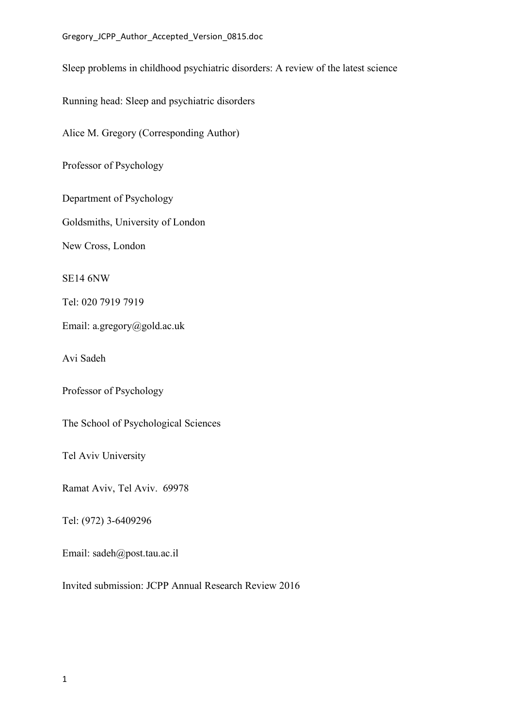Sleep problems in childhood psychiatric disorders: A review of the latest science

Running head: Sleep and psychiatric disorders

Alice M. Gregory (Corresponding Author)

Professor of Psychology

Department of Psychology

Goldsmiths, University of London

New Cross, London

SE14 6NW

Tel: 020 7919 7919

Email: a.gregory@gold.ac.uk

Avi Sadeh

Professor of Psychology

The School of Psychological Sciences

Tel Aviv University

Ramat Aviv, Tel Aviv. 69978

Tel: (972) 3-6409296

Email: sadeh@post.tau.ac.il

Invited submission: JCPP Annual Research Review 2016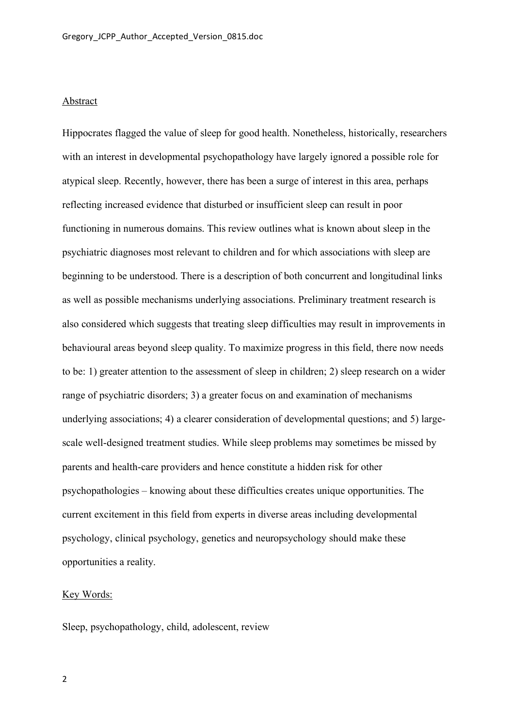#### Abstract

Hippocrates flagged the value of sleep for good health. Nonetheless, historically, researchers with an interest in developmental psychopathology have largely ignored a possible role for atypical sleep. Recently, however, there has been a surge of interest in this area, perhaps reflecting increased evidence that disturbed or insufficient sleep can result in poor functioning in numerous domains. This review outlines what is known about sleep in the psychiatric diagnoses most relevant to children and for which associations with sleep are beginning to be understood. There is a description of both concurrent and longitudinal links as well as possible mechanisms underlying associations. Preliminary treatment research is also considered which suggests that treating sleep difficulties may result in improvements in behavioural areas beyond sleep quality. To maximize progress in this field, there now needs to be: 1) greater attention to the assessment of sleep in children; 2) sleep research on a wider range of psychiatric disorders; 3) a greater focus on and examination of mechanisms underlying associations; 4) a clearer consideration of developmental questions; and 5) largescale well-designed treatment studies. While sleep problems may sometimes be missed by parents and health-care providers and hence constitute a hidden risk for other psychopathologies – knowing about these difficulties creates unique opportunities. The current excitement in this field from experts in diverse areas including developmental psychology, clinical psychology, genetics and neuropsychology should make these opportunities a reality.

### Key Words:

Sleep, psychopathology, child, adolescent, review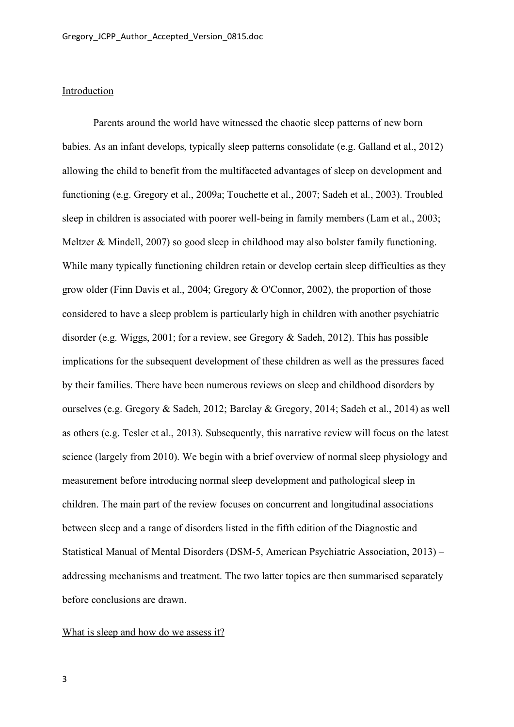### Introduction

Parents around the world have witnessed the chaotic sleep patterns of new born babies. As an infant develops, typically sleep patterns consolidate (e.g. Galland et al., 2012) allowing the child to benefit from the multifaceted advantages of sleep on development and functioning (e.g. Gregory et al., 2009a; Touchette et al., 2007; Sadeh et al., 2003). Troubled sleep in children is associated with poorer well-being in family members (Lam et al., 2003; Meltzer & Mindell, 2007) so good sleep in childhood may also bolster family functioning. While many typically functioning children retain or develop certain sleep difficulties as they grow older (Finn Davis et al., 2004; Gregory & O'Connor, 2002), the proportion of those considered to have a sleep problem is particularly high in children with another psychiatric disorder (e.g. Wiggs, 2001; for a review, see Gregory & Sadeh, 2012). This has possible implications for the subsequent development of these children as well as the pressures faced by their families. There have been numerous reviews on sleep and childhood disorders by ourselves (e.g. Gregory & Sadeh, 2012; Barclay & Gregory, 2014; Sadeh et al., 2014) as well as others (e.g. Tesler et al., 2013). Subsequently, this narrative review will focus on the latest science (largely from 2010). We begin with a brief overview of normal sleep physiology and measurement before introducing normal sleep development and pathological sleep in children. The main part of the review focuses on concurrent and longitudinal associations between sleep and a range of disorders listed in the fifth edition of the Diagnostic and Statistical Manual of Mental Disorders (DSM-5, American Psychiatric Association, 2013) – addressing mechanisms and treatment. The two latter topics are then summarised separately before conclusions are drawn.

#### What is sleep and how do we assess it?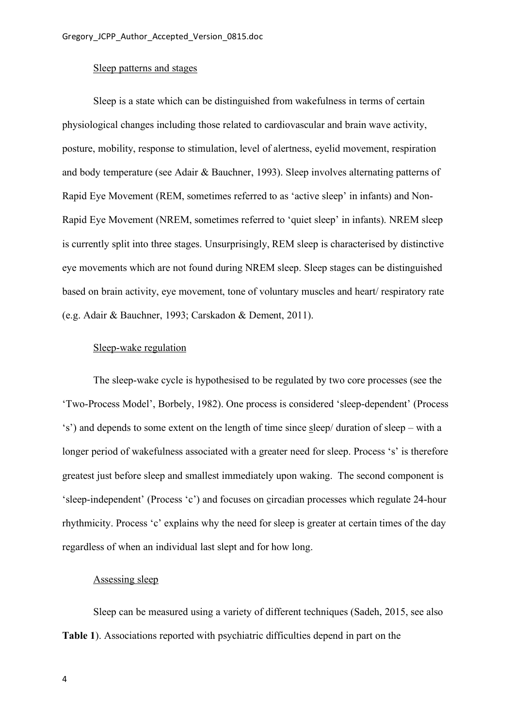#### Sleep patterns and stages

Sleep is a state which can be distinguished from wakefulness in terms of certain physiological changes including those related to cardiovascular and brain wave activity, posture, mobility, response to stimulation, level of alertness, eyelid movement, respiration and body temperature (see Adair & Bauchner, 1993). Sleep involves alternating patterns of Rapid Eye Movement (REM, sometimes referred to as 'active sleep' in infants) and Non-Rapid Eye Movement (NREM, sometimes referred to 'quiet sleep' in infants). NREM sleep is currently split into three stages. Unsurprisingly, REM sleep is characterised by distinctive eye movements which are not found during NREM sleep. Sleep stages can be distinguished based on brain activity, eye movement, tone of voluntary muscles and heart/ respiratory rate (e.g. Adair & Bauchner, 1993; Carskadon & Dement, 2011).

### Sleep-wake regulation

The sleep-wake cycle is hypothesised to be regulated by two core processes (see the 'Two-Process Model', Borbely, 1982). One process is considered 'sleep-dependent' (Process 's') and depends to some extent on the length of time since sleep/ duration of sleep – with a longer period of wakefulness associated with a greater need for sleep. Process 's' is therefore greatest just before sleep and smallest immediately upon waking. The second component is 'sleep-independent' (Process 'c') and focuses on circadian processes which regulate 24-hour rhythmicity. Process 'c' explains why the need for sleep is greater at certain times of the day regardless of when an individual last slept and for how long.

### Assessing sleep

Sleep can be measured using a variety of different techniques (Sadeh, 2015, see also **Table 1**). Associations reported with psychiatric difficulties depend in part on the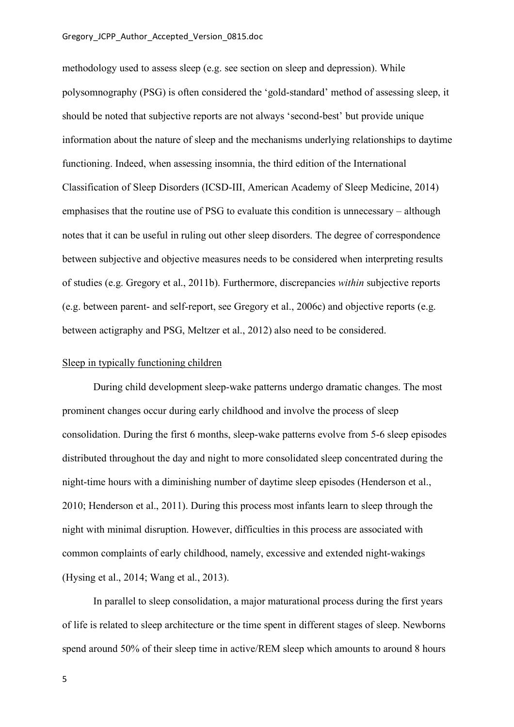methodology used to assess sleep (e.g. see section on sleep and depression). While polysomnography (PSG) is often considered the 'gold-standard' method of assessing sleep, it should be noted that subjective reports are not always 'second-best' but provide unique information about the nature of sleep and the mechanisms underlying relationships to daytime functioning. Indeed, when assessing insomnia, the third edition of the International Classification of Sleep Disorders (ICSD-III, American Academy of Sleep Medicine, 2014) emphasises that the routine use of PSG to evaluate this condition is unnecessary – although notes that it can be useful in ruling out other sleep disorders. The degree of correspondence between subjective and objective measures needs to be considered when interpreting results of studies (e.g. Gregory et al., 2011b). Furthermore, discrepancies *within* subjective reports (e.g. between parent- and self-report, see Gregory et al., 2006c) and objective reports (e.g. between actigraphy and PSG, Meltzer et al., 2012) also need to be considered.

#### Sleep in typically functioning children

During child development sleep-wake patterns undergo dramatic changes. The most prominent changes occur during early childhood and involve the process of sleep consolidation. During the first 6 months, sleep-wake patterns evolve from 5-6 sleep episodes distributed throughout the day and night to more consolidated sleep concentrated during the night-time hours with a diminishing number of daytime sleep episodes (Henderson et al., 2010; Henderson et al., 2011). During this process most infants learn to sleep through the night with minimal disruption. However, difficulties in this process are associated with common complaints of early childhood, namely, excessive and extended night-wakings (Hysing et al., 2014; Wang et al., 2013).

In parallel to sleep consolidation, a major maturational process during the first years of life is related to sleep architecture or the time spent in different stages of sleep. Newborns spend around 50% of their sleep time in active/REM sleep which amounts to around 8 hours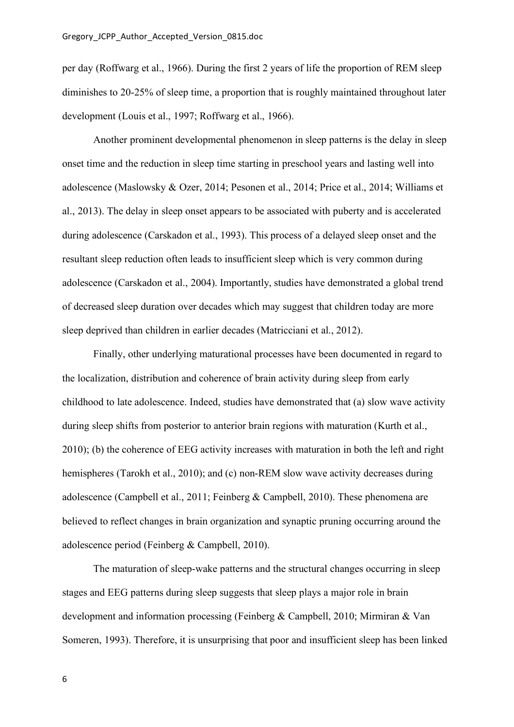per day (Roffwarg et al., 1966). During the first 2 years of life the proportion of REM sleep diminishes to 20-25% of sleep time, a proportion that is roughly maintained throughout later development (Louis et al., 1997; Roffwarg et al., 1966).

Another prominent developmental phenomenon in sleep patterns is the delay in sleep onset time and the reduction in sleep time starting in preschool years and lasting well into adolescence (Maslowsky & Ozer, 2014; Pesonen et al., 2014; Price et al., 2014; Williams et al., 2013). The delay in sleep onset appears to be associated with puberty and is accelerated during adolescence (Carskadon et al., 1993). This process of a delayed sleep onset and the resultant sleep reduction often leads to insufficient sleep which is very common during adolescence (Carskadon et al., 2004). Importantly, studies have demonstrated a global trend of decreased sleep duration over decades which may suggest that children today are more sleep deprived than children in earlier decades (Matricciani et al., 2012).

Finally, other underlying maturational processes have been documented in regard to the localization, distribution and coherence of brain activity during sleep from early childhood to late adolescence. Indeed, studies have demonstrated that (a) slow wave activity during sleep shifts from posterior to anterior brain regions with maturation (Kurth et al., 2010); (b) the coherence of EEG activity increases with maturation in both the left and right hemispheres (Tarokh et al., 2010); and (c) non-REM slow wave activity decreases during adolescence (Campbell et al., 2011; Feinberg & Campbell, 2010). These phenomena are believed to reflect changes in brain organization and synaptic pruning occurring around the adolescence period (Feinberg & Campbell, 2010).

The maturation of sleep-wake patterns and the structural changes occurring in sleep stages and EEG patterns during sleep suggests that sleep plays a major role in brain development and information processing (Feinberg & Campbell, 2010; Mirmiran & Van Someren, 1993). Therefore, it is unsurprising that poor and insufficient sleep has been linked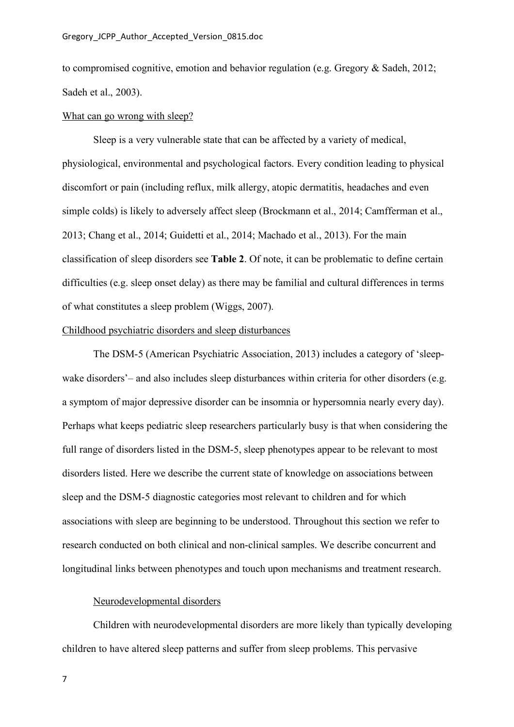to compromised cognitive, emotion and behavior regulation (e.g. Gregory & Sadeh, 2012; Sadeh et al., 2003).

#### What can go wrong with sleep?

Sleep is a very vulnerable state that can be affected by a variety of medical, physiological, environmental and psychological factors. Every condition leading to physical discomfort or pain (including reflux, milk allergy, atopic dermatitis, headaches and even simple colds) is likely to adversely affect sleep (Brockmann et al., 2014; Camfferman et al., 2013; Chang et al., 2014; Guidetti et al., 2014; Machado et al., 2013). For the main classification of sleep disorders see **Table 2**. Of note, it can be problematic to define certain difficulties (e.g. sleep onset delay) as there may be familial and cultural differences in terms of what constitutes a sleep problem (Wiggs, 2007).

## Childhood psychiatric disorders and sleep disturbances

The DSM-5 (American Psychiatric Association, 2013) includes a category of 'sleepwake disorders'– and also includes sleep disturbances within criteria for other disorders (e.g. a symptom of major depressive disorder can be insomnia or hypersomnia nearly every day). Perhaps what keeps pediatric sleep researchers particularly busy is that when considering the full range of disorders listed in the DSM-5, sleep phenotypes appear to be relevant to most disorders listed. Here we describe the current state of knowledge on associations between sleep and the DSM-5 diagnostic categories most relevant to children and for which associations with sleep are beginning to be understood. Throughout this section we refer to research conducted on both clinical and non-clinical samples. We describe concurrent and longitudinal links between phenotypes and touch upon mechanisms and treatment research.

## Neurodevelopmental disorders

Children with neurodevelopmental disorders are more likely than typically developing children to have altered sleep patterns and suffer from sleep problems. This pervasive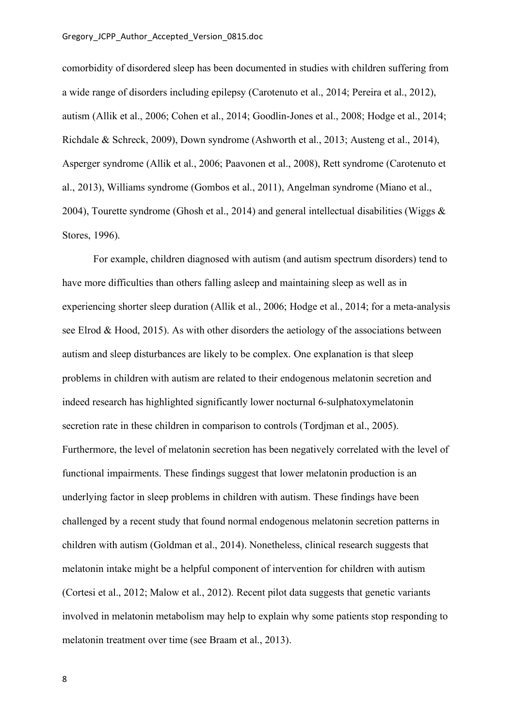comorbidity of disordered sleep has been documented in studies with children suffering from a wide range of disorders including epilepsy (Carotenuto et al., 2014; Pereira et al., 2012), autism (Allik et al., 2006; Cohen et al., 2014; Goodlin-Jones et al., 2008; Hodge et al., 2014; Richdale & Schreck, 2009), Down syndrome (Ashworth et al., 2013; Austeng et al., 2014), Asperger syndrome (Allik et al., 2006; Paavonen et al., 2008), Rett syndrome (Carotenuto et al., 2013), Williams syndrome (Gombos et al., 2011), Angelman syndrome (Miano et al., 2004), Tourette syndrome (Ghosh et al., 2014) and general intellectual disabilities (Wiggs  $\&$ Stores, 1996).

For example, children diagnosed with autism (and autism spectrum disorders) tend to have more difficulties than others falling asleep and maintaining sleep as well as in experiencing shorter sleep duration (Allik et al., 2006; Hodge et al., 2014; for a meta-analysis see Elrod & Hood, 2015). As with other disorders the aetiology of the associations between autism and sleep disturbances are likely to be complex. One explanation is that sleep problems in children with autism are related to their endogenous melatonin secretion and indeed research has highlighted significantly lower nocturnal 6-sulphatoxymelatonin secretion rate in these children in comparison to controls (Tordjman et al., 2005). Furthermore, the level of melatonin secretion has been negatively correlated with the level of functional impairments. These findings suggest that lower melatonin production is an underlying factor in sleep problems in children with autism. These findings have been challenged by a recent study that found normal endogenous melatonin secretion patterns in children with autism (Goldman et al., 2014). Nonetheless, clinical research suggests that melatonin intake might be a helpful component of intervention for children with autism (Cortesi et al., 2012; Malow et al., 2012). Recent pilot data suggests that genetic variants involved in melatonin metabolism may help to explain why some patients stop responding to melatonin treatment over time (see Braam et al., 2013).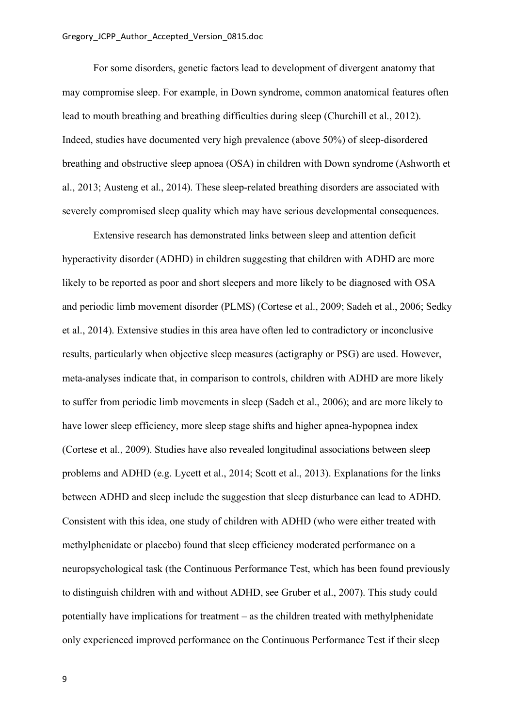For some disorders, genetic factors lead to development of divergent anatomy that may compromise sleep. For example, in Down syndrome, common anatomical features often lead to mouth breathing and breathing difficulties during sleep (Churchill et al., 2012). Indeed, studies have documented very high prevalence (above 50%) of sleep-disordered breathing and obstructive sleep apnoea (OSA) in children with Down syndrome (Ashworth et al., 2013; Austeng et al., 2014). These sleep-related breathing disorders are associated with severely compromised sleep quality which may have serious developmental consequences.

Extensive research has demonstrated links between sleep and attention deficit hyperactivity disorder (ADHD) in children suggesting that children with ADHD are more likely to be reported as poor and short sleepers and more likely to be diagnosed with OSA and periodic limb movement disorder (PLMS) (Cortese et al., 2009; Sadeh et al., 2006; Sedky et al., 2014). Extensive studies in this area have often led to contradictory or inconclusive results, particularly when objective sleep measures (actigraphy or PSG) are used. However, meta-analyses indicate that, in comparison to controls, children with ADHD are more likely to suffer from periodic limb movements in sleep (Sadeh et al., 2006); and are more likely to have lower sleep efficiency, more sleep stage shifts and higher apnea-hypopnea index (Cortese et al., 2009). Studies have also revealed longitudinal associations between sleep problems and ADHD (e.g. Lycett et al., 2014; Scott et al., 2013). Explanations for the links between ADHD and sleep include the suggestion that sleep disturbance can lead to ADHD. Consistent with this idea, one study of children with ADHD (who were either treated with methylphenidate or placebo) found that sleep efficiency moderated performance on a neuropsychological task (the Continuous Performance Test, which has been found previously to distinguish children with and without ADHD, see Gruber et al., 2007). This study could potentially have implications for treatment – as the children treated with methylphenidate only experienced improved performance on the Continuous Performance Test if their sleep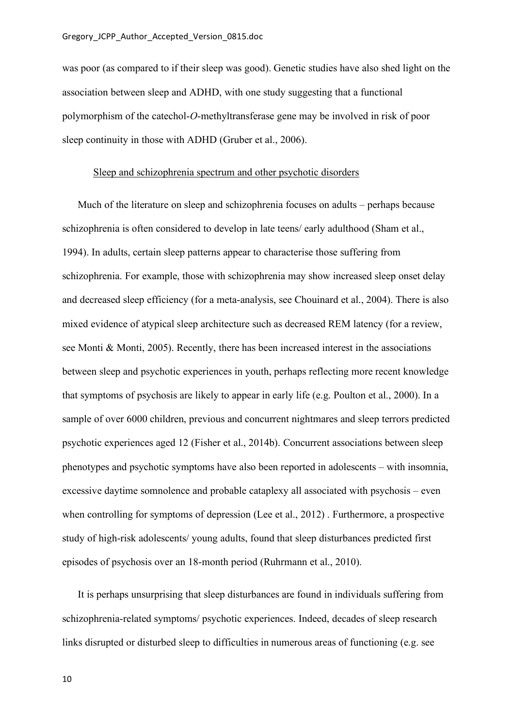was poor (as compared to if their sleep was good). Genetic studies have also shed light on the association between sleep and ADHD, with one study suggesting that a functional polymorphism of the catechol-*O*-methyltransferase gene may be involved in risk of poor sleep continuity in those with ADHD (Gruber et al., 2006).

### Sleep and schizophrenia spectrum and other psychotic disorders

Much of the literature on sleep and schizophrenia focuses on adults – perhaps because schizophrenia is often considered to develop in late teens/ early adulthood (Sham et al., 1994). In adults, certain sleep patterns appear to characterise those suffering from schizophrenia. For example, those with schizophrenia may show increased sleep onset delay and decreased sleep efficiency (for a meta-analysis, see Chouinard et al., 2004). There is also mixed evidence of atypical sleep architecture such as decreased REM latency (for a review, see Monti & Monti, 2005). Recently, there has been increased interest in the associations between sleep and psychotic experiences in youth, perhaps reflecting more recent knowledge that symptoms of psychosis are likely to appear in early life (e.g. Poulton et al., 2000). In a sample of over 6000 children, previous and concurrent nightmares and sleep terrors predicted psychotic experiences aged 12 (Fisher et al., 2014b). Concurrent associations between sleep phenotypes and psychotic symptoms have also been reported in adolescents – with insomnia, excessive daytime somnolence and probable cataplexy all associated with psychosis – even when controlling for symptoms of depression (Lee et al., 2012) . Furthermore, a prospective study of high-risk adolescents/ young adults, found that sleep disturbances predicted first episodes of psychosis over an 18-month period (Ruhrmann et al., 2010).

It is perhaps unsurprising that sleep disturbances are found in individuals suffering from schizophrenia-related symptoms/ psychotic experiences. Indeed, decades of sleep research links disrupted or disturbed sleep to difficulties in numerous areas of functioning (e.g. see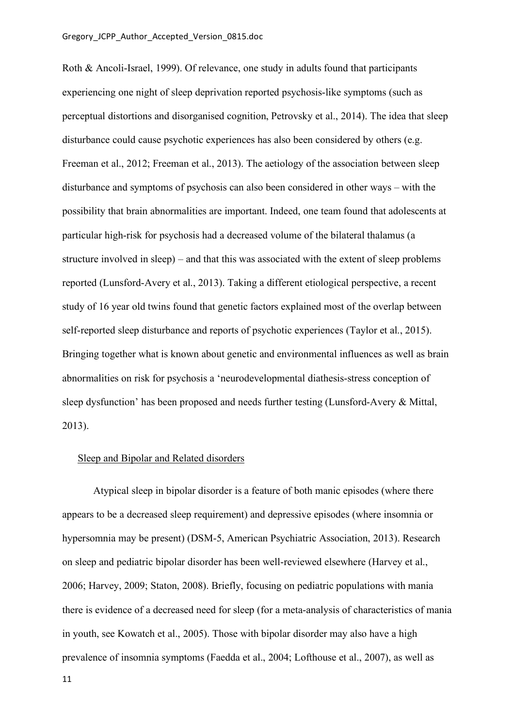Roth & Ancoli-Israel, 1999). Of relevance, one study in adults found that participants experiencing one night of sleep deprivation reported psychosis-like symptoms (such as perceptual distortions and disorganised cognition, Petrovsky et al., 2014). The idea that sleep disturbance could cause psychotic experiences has also been considered by others (e.g. Freeman et al., 2012; Freeman et al., 2013). The aetiology of the association between sleep disturbance and symptoms of psychosis can also been considered in other ways – with the possibility that brain abnormalities are important. Indeed, one team found that adolescents at particular high-risk for psychosis had a decreased volume of the bilateral thalamus (a structure involved in sleep) – and that this was associated with the extent of sleep problems reported (Lunsford-Avery et al., 2013). Taking a different etiological perspective, a recent study of 16 year old twins found that genetic factors explained most of the overlap between self-reported sleep disturbance and reports of psychotic experiences (Taylor et al., 2015). Bringing together what is known about genetic and environmental influences as well as brain abnormalities on risk for psychosis a 'neurodevelopmental diathesis-stress conception of sleep dysfunction' has been proposed and needs further testing (Lunsford-Avery & Mittal, 2013).

## Sleep and Bipolar and Related disorders

Atypical sleep in bipolar disorder is a feature of both manic episodes (where there appears to be a decreased sleep requirement) and depressive episodes (where insomnia or hypersomnia may be present) (DSM-5, American Psychiatric Association, 2013). Research on sleep and pediatric bipolar disorder has been well-reviewed elsewhere (Harvey et al., 2006; Harvey, 2009; Staton, 2008). Briefly, focusing on pediatric populations with mania there is evidence of a decreased need for sleep (for a meta-analysis of characteristics of mania in youth, see Kowatch et al., 2005). Those with bipolar disorder may also have a high prevalence of insomnia symptoms (Faedda et al., 2004; Lofthouse et al., 2007), as well as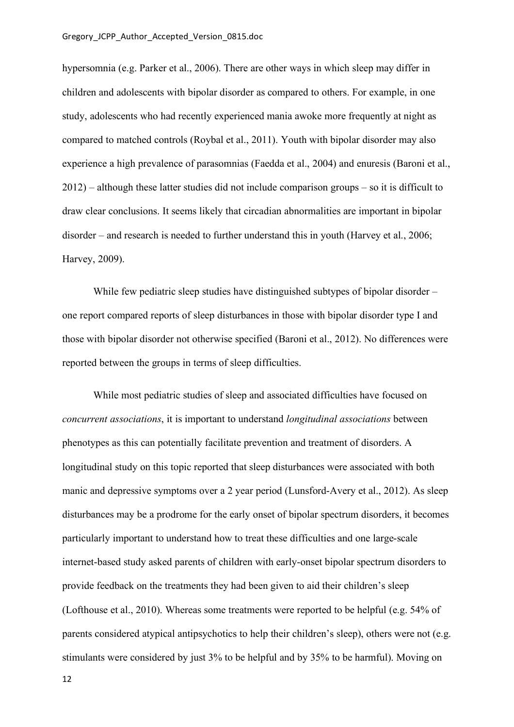hypersomnia (e.g. Parker et al., 2006). There are other ways in which sleep may differ in children and adolescents with bipolar disorder as compared to others. For example, in one study, adolescents who had recently experienced mania awoke more frequently at night as compared to matched controls (Roybal et al., 2011). Youth with bipolar disorder may also experience a high prevalence of parasomnias (Faedda et al., 2004) and enuresis (Baroni et al., 2012) – although these latter studies did not include comparison groups – so it is difficult to draw clear conclusions. It seems likely that circadian abnormalities are important in bipolar disorder – and research is needed to further understand this in youth (Harvey et al., 2006; Harvey, 2009).

While few pediatric sleep studies have distinguished subtypes of bipolar disorder – one report compared reports of sleep disturbances in those with bipolar disorder type I and those with bipolar disorder not otherwise specified (Baroni et al., 2012). No differences were reported between the groups in terms of sleep difficulties.

While most pediatric studies of sleep and associated difficulties have focused on *concurrent associations*, it is important to understand *longitudinal associations* between phenotypes as this can potentially facilitate prevention and treatment of disorders. A longitudinal study on this topic reported that sleep disturbances were associated with both manic and depressive symptoms over a 2 year period (Lunsford-Avery et al., 2012). As sleep disturbances may be a prodrome for the early onset of bipolar spectrum disorders, it becomes particularly important to understand how to treat these difficulties and one large-scale internet-based study asked parents of children with early-onset bipolar spectrum disorders to provide feedback on the treatments they had been given to aid their children's sleep (Lofthouse et al., 2010). Whereas some treatments were reported to be helpful (e.g. 54% of parents considered atypical antipsychotics to help their children's sleep), others were not (e.g. stimulants were considered by just 3% to be helpful and by 35% to be harmful). Moving on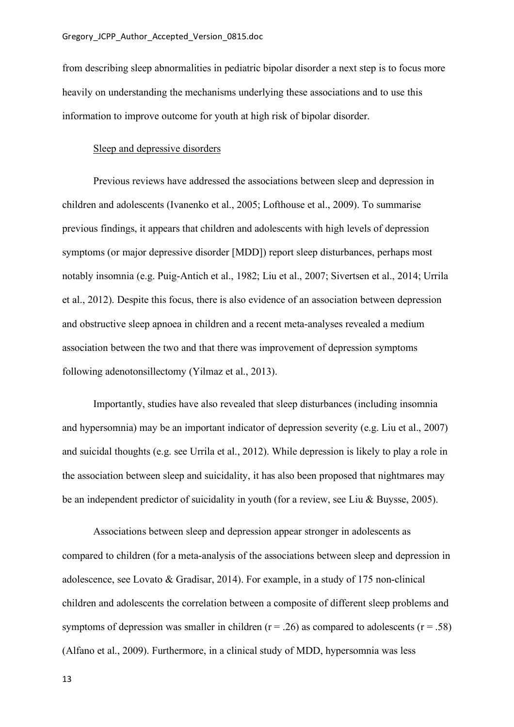from describing sleep abnormalities in pediatric bipolar disorder a next step is to focus more heavily on understanding the mechanisms underlying these associations and to use this information to improve outcome for youth at high risk of bipolar disorder.

### Sleep and depressive disorders

Previous reviews have addressed the associations between sleep and depression in children and adolescents (Ivanenko et al., 2005; Lofthouse et al., 2009). To summarise previous findings, it appears that children and adolescents with high levels of depression symptoms (or major depressive disorder [MDD]) report sleep disturbances, perhaps most notably insomnia (e.g. Puig-Antich et al., 1982; Liu et al., 2007; Sivertsen et al., 2014; Urrila et al., 2012). Despite this focus, there is also evidence of an association between depression and obstructive sleep apnoea in children and a recent meta-analyses revealed a medium association between the two and that there was improvement of depression symptoms following adenotonsillectomy (Yilmaz et al., 2013).

Importantly, studies have also revealed that sleep disturbances (including insomnia and hypersomnia) may be an important indicator of depression severity (e.g. Liu et al., 2007) and suicidal thoughts (e.g. see Urrila et al., 2012). While depression is likely to play a role in the association between sleep and suicidality, it has also been proposed that nightmares may be an independent predictor of suicidality in youth (for a review, see Liu & Buysse, 2005).

Associations between sleep and depression appear stronger in adolescents as compared to children (for a meta-analysis of the associations between sleep and depression in adolescence, see Lovato & Gradisar, 2014). For example, in a study of 175 non-clinical children and adolescents the correlation between a composite of different sleep problems and symptoms of depression was smaller in children ( $r = .26$ ) as compared to adolescents ( $r = .58$ ) (Alfano et al., 2009). Furthermore, in a clinical study of MDD, hypersomnia was less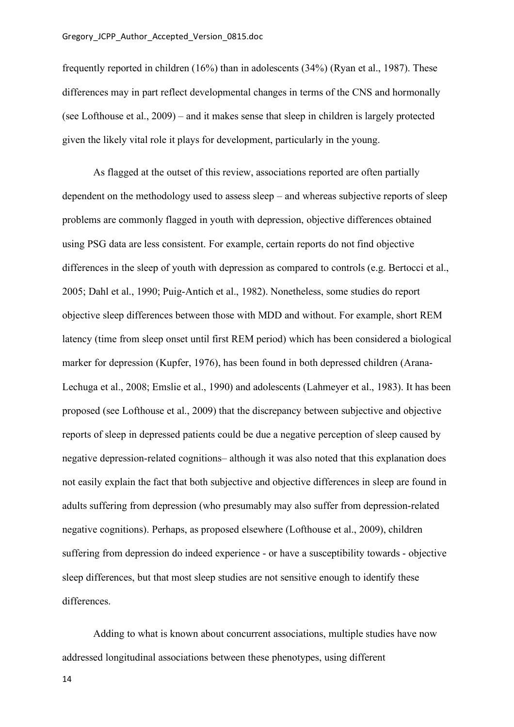frequently reported in children (16%) than in adolescents (34%) (Ryan et al., 1987). These differences may in part reflect developmental changes in terms of the CNS and hormonally (see Lofthouse et al., 2009) – and it makes sense that sleep in children is largely protected given the likely vital role it plays for development, particularly in the young.

As flagged at the outset of this review, associations reported are often partially dependent on the methodology used to assess sleep – and whereas subjective reports of sleep problems are commonly flagged in youth with depression, objective differences obtained using PSG data are less consistent. For example, certain reports do not find objective differences in the sleep of youth with depression as compared to controls (e.g. Bertocci et al., 2005; Dahl et al., 1990; Puig-Antich et al., 1982). Nonetheless, some studies do report objective sleep differences between those with MDD and without. For example, short REM latency (time from sleep onset until first REM period) which has been considered a biological marker for depression (Kupfer, 1976), has been found in both depressed children (Arana-Lechuga et al., 2008; Emslie et al., 1990) and adolescents (Lahmeyer et al., 1983). It has been proposed (see Lofthouse et al., 2009) that the discrepancy between subjective and objective reports of sleep in depressed patients could be due a negative perception of sleep caused by negative depression-related cognitions– although it was also noted that this explanation does not easily explain the fact that both subjective and objective differences in sleep are found in adults suffering from depression (who presumably may also suffer from depression-related negative cognitions). Perhaps, as proposed elsewhere (Lofthouse et al., 2009), children suffering from depression do indeed experience - or have a susceptibility towards - objective sleep differences, but that most sleep studies are not sensitive enough to identify these differences.

Adding to what is known about concurrent associations, multiple studies have now addressed longitudinal associations between these phenotypes, using different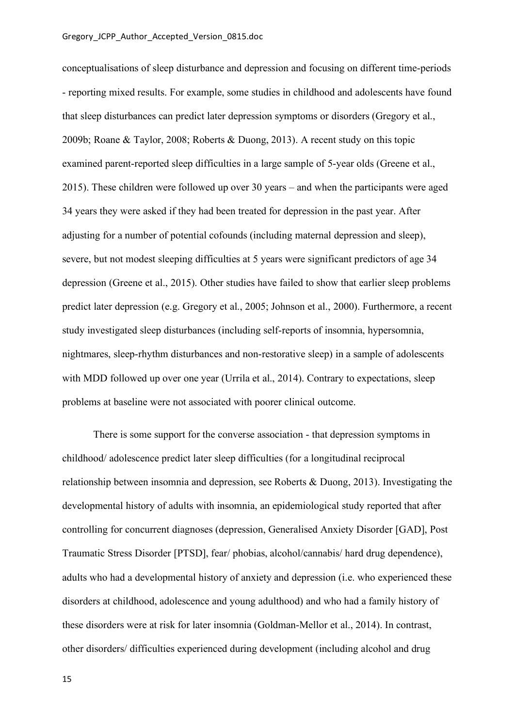conceptualisations of sleep disturbance and depression and focusing on different time-periods - reporting mixed results. For example, some studies in childhood and adolescents have found that sleep disturbances can predict later depression symptoms or disorders (Gregory et al., 2009b; Roane & Taylor, 2008; Roberts & Duong, 2013). A recent study on this topic examined parent-reported sleep difficulties in a large sample of 5-year olds (Greene et al., 2015). These children were followed up over 30 years – and when the participants were aged 34 years they were asked if they had been treated for depression in the past year. After adjusting for a number of potential cofounds (including maternal depression and sleep), severe, but not modest sleeping difficulties at 5 years were significant predictors of age 34 depression (Greene et al., 2015). Other studies have failed to show that earlier sleep problems predict later depression (e.g. Gregory et al., 2005; Johnson et al., 2000). Furthermore, a recent study investigated sleep disturbances (including self-reports of insomnia, hypersomnia, nightmares, sleep-rhythm disturbances and non-restorative sleep) in a sample of adolescents with MDD followed up over one year (Urrila et al., 2014). Contrary to expectations, sleep problems at baseline were not associated with poorer clinical outcome.

There is some support for the converse association - that depression symptoms in childhood/ adolescence predict later sleep difficulties (for a longitudinal reciprocal relationship between insomnia and depression, see Roberts & Duong, 2013). Investigating the developmental history of adults with insomnia, an epidemiological study reported that after controlling for concurrent diagnoses (depression, Generalised Anxiety Disorder [GAD], Post Traumatic Stress Disorder [PTSD], fear/ phobias, alcohol/cannabis/ hard drug dependence), adults who had a developmental history of anxiety and depression (i.e. who experienced these disorders at childhood, adolescence and young adulthood) and who had a family history of these disorders were at risk for later insomnia (Goldman-Mellor et al., 2014). In contrast, other disorders/ difficulties experienced during development (including alcohol and drug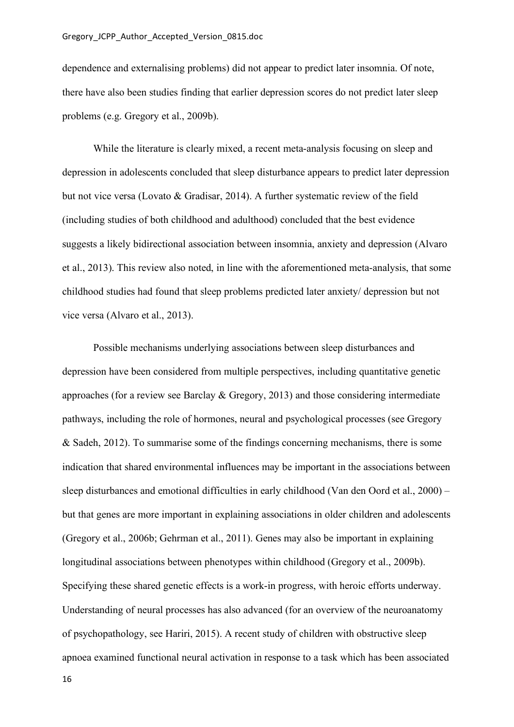dependence and externalising problems) did not appear to predict later insomnia. Of note, there have also been studies finding that earlier depression scores do not predict later sleep problems (e.g. Gregory et al., 2009b).

While the literature is clearly mixed, a recent meta-analysis focusing on sleep and depression in adolescents concluded that sleep disturbance appears to predict later depression but not vice versa (Lovato & Gradisar, 2014). A further systematic review of the field (including studies of both childhood and adulthood) concluded that the best evidence suggests a likely bidirectional association between insomnia, anxiety and depression (Alvaro et al., 2013). This review also noted, in line with the aforementioned meta-analysis, that some childhood studies had found that sleep problems predicted later anxiety/ depression but not vice versa (Alvaro et al., 2013).

Possible mechanisms underlying associations between sleep disturbances and depression have been considered from multiple perspectives, including quantitative genetic approaches (for a review see Barclay & Gregory, 2013) and those considering intermediate pathways, including the role of hormones, neural and psychological processes (see Gregory & Sadeh, 2012). To summarise some of the findings concerning mechanisms, there is some indication that shared environmental influences may be important in the associations between sleep disturbances and emotional difficulties in early childhood (Van den Oord et al., 2000) – but that genes are more important in explaining associations in older children and adolescents (Gregory et al., 2006b; Gehrman et al., 2011). Genes may also be important in explaining longitudinal associations between phenotypes within childhood (Gregory et al., 2009b). Specifying these shared genetic effects is a work-in progress, with heroic efforts underway. Understanding of neural processes has also advanced (for an overview of the neuroanatomy of psychopathology, see Hariri, 2015). A recent study of children with obstructive sleep apnoea examined functional neural activation in response to a task which has been associated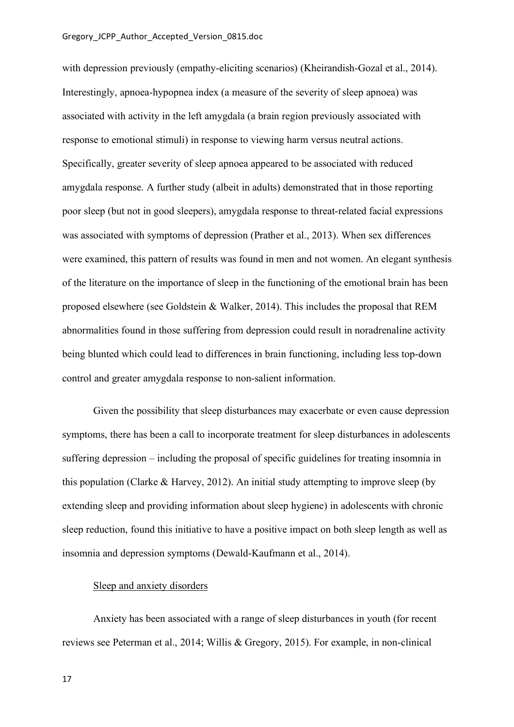with depression previously (empathy-eliciting scenarios) (Kheirandish-Gozal et al., 2014). Interestingly, apnoea-hypopnea index (a measure of the severity of sleep apnoea) was associated with activity in the left amygdala (a brain region previously associated with response to emotional stimuli) in response to viewing harm versus neutral actions. Specifically, greater severity of sleep apnoea appeared to be associated with reduced amygdala response. A further study (albeit in adults) demonstrated that in those reporting poor sleep (but not in good sleepers), amygdala response to threat-related facial expressions was associated with symptoms of depression (Prather et al., 2013). When sex differences were examined, this pattern of results was found in men and not women. An elegant synthesis of the literature on the importance of sleep in the functioning of the emotional brain has been proposed elsewhere (see Goldstein & Walker, 2014). This includes the proposal that REM abnormalities found in those suffering from depression could result in noradrenaline activity being blunted which could lead to differences in brain functioning, including less top-down control and greater amygdala response to non-salient information.

Given the possibility that sleep disturbances may exacerbate or even cause depression symptoms, there has been a call to incorporate treatment for sleep disturbances in adolescents suffering depression – including the proposal of specific guidelines for treating insomnia in this population (Clarke  $\&$  Harvey, 2012). An initial study attempting to improve sleep (by extending sleep and providing information about sleep hygiene) in adolescents with chronic sleep reduction, found this initiative to have a positive impact on both sleep length as well as insomnia and depression symptoms (Dewald-Kaufmann et al., 2014).

## Sleep and anxiety disorders

Anxiety has been associated with a range of sleep disturbances in youth (for recent reviews see Peterman et al., 2014; Willis & Gregory, 2015). For example, in non-clinical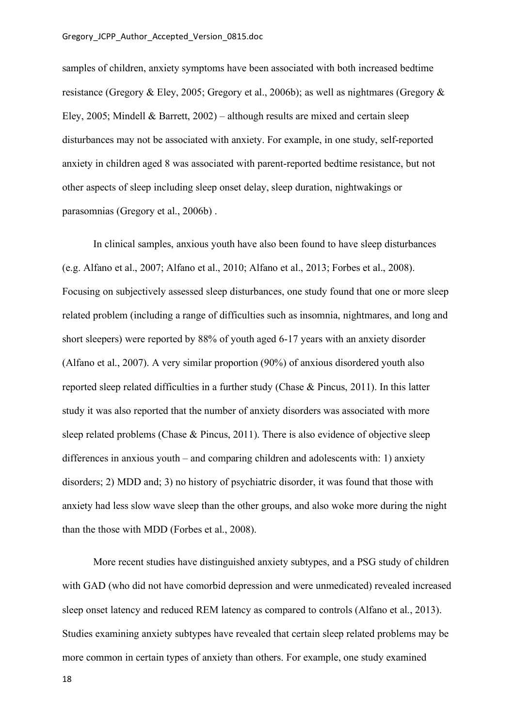samples of children, anxiety symptoms have been associated with both increased bedtime resistance (Gregory & Eley, 2005; Gregory et al., 2006b); as well as nightmares (Gregory & Eley, 2005; Mindell & Barrett, 2002) – although results are mixed and certain sleep disturbances may not be associated with anxiety. For example, in one study, self-reported anxiety in children aged 8 was associated with parent-reported bedtime resistance, but not other aspects of sleep including sleep onset delay, sleep duration, nightwakings or parasomnias (Gregory et al., 2006b) .

In clinical samples, anxious youth have also been found to have sleep disturbances (e.g. Alfano et al., 2007; Alfano et al., 2010; Alfano et al., 2013; Forbes et al., 2008). Focusing on subjectively assessed sleep disturbances, one study found that one or more sleep related problem (including a range of difficulties such as insomnia, nightmares, and long and short sleepers) were reported by 88% of youth aged 6-17 years with an anxiety disorder (Alfano et al., 2007). A very similar proportion (90%) of anxious disordered youth also reported sleep related difficulties in a further study (Chase & Pincus, 2011). In this latter study it was also reported that the number of anxiety disorders was associated with more sleep related problems (Chase & Pincus, 2011). There is also evidence of objective sleep differences in anxious youth – and comparing children and adolescents with: 1) anxiety disorders; 2) MDD and; 3) no history of psychiatric disorder, it was found that those with anxiety had less slow wave sleep than the other groups, and also woke more during the night than the those with MDD (Forbes et al., 2008).

More recent studies have distinguished anxiety subtypes, and a PSG study of children with GAD (who did not have comorbid depression and were unmedicated) revealed increased sleep onset latency and reduced REM latency as compared to controls (Alfano et al., 2013). Studies examining anxiety subtypes have revealed that certain sleep related problems may be more common in certain types of anxiety than others. For example, one study examined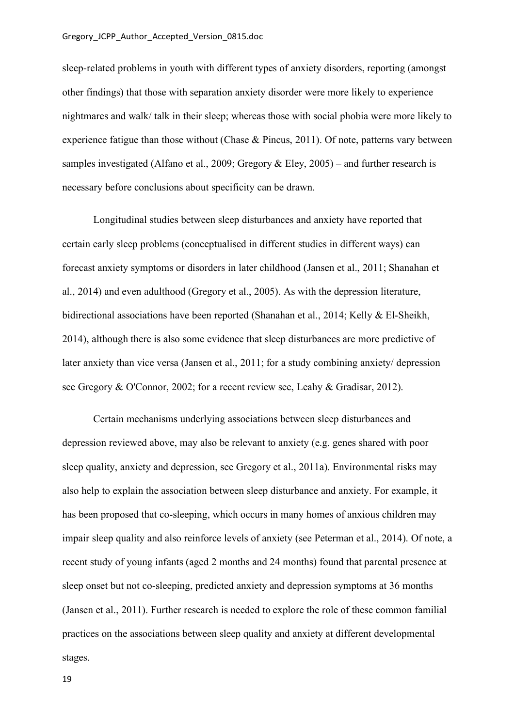sleep-related problems in youth with different types of anxiety disorders, reporting (amongst other findings) that those with separation anxiety disorder were more likely to experience nightmares and walk/ talk in their sleep; whereas those with social phobia were more likely to experience fatigue than those without (Chase & Pincus, 2011). Of note, patterns vary between samples investigated (Alfano et al., 2009; Gregory  $\&$  Eley, 2005) – and further research is necessary before conclusions about specificity can be drawn.

Longitudinal studies between sleep disturbances and anxiety have reported that certain early sleep problems (conceptualised in different studies in different ways) can forecast anxiety symptoms or disorders in later childhood (Jansen et al., 2011; Shanahan et al., 2014) and even adulthood (Gregory et al., 2005). As with the depression literature, bidirectional associations have been reported (Shanahan et al., 2014; Kelly & El-Sheikh, 2014), although there is also some evidence that sleep disturbances are more predictive of later anxiety than vice versa (Jansen et al., 2011; for a study combining anxiety/ depression see Gregory & O'Connor, 2002; for a recent review see, Leahy & Gradisar, 2012).

Certain mechanisms underlying associations between sleep disturbances and depression reviewed above, may also be relevant to anxiety (e.g. genes shared with poor sleep quality, anxiety and depression, see Gregory et al., 2011a). Environmental risks may also help to explain the association between sleep disturbance and anxiety. For example, it has been proposed that co-sleeping, which occurs in many homes of anxious children may impair sleep quality and also reinforce levels of anxiety (see Peterman et al., 2014). Of note, a recent study of young infants (aged 2 months and 24 months) found that parental presence at sleep onset but not co-sleeping, predicted anxiety and depression symptoms at 36 months (Jansen et al., 2011). Further research is needed to explore the role of these common familial practices on the associations between sleep quality and anxiety at different developmental stages.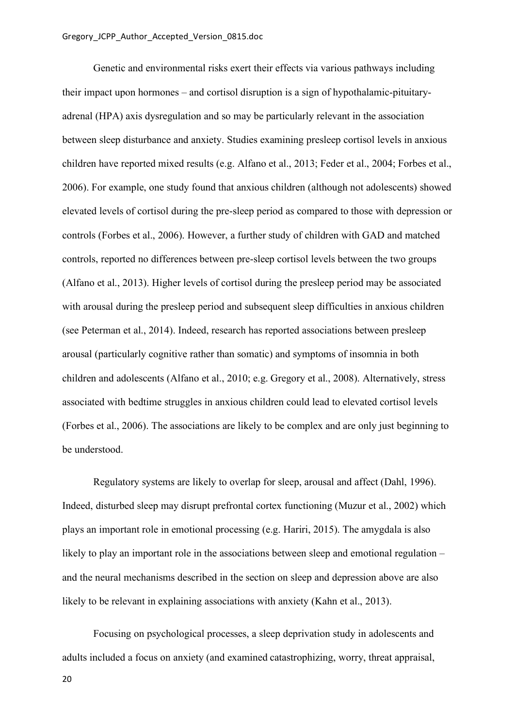Genetic and environmental risks exert their effects via various pathways including their impact upon hormones – and cortisol disruption is a sign of hypothalamic-pituitaryadrenal (HPA) axis dysregulation and so may be particularly relevant in the association between sleep disturbance and anxiety. Studies examining presleep cortisol levels in anxious children have reported mixed results (e.g. Alfano et al., 2013; Feder et al., 2004; Forbes et al., 2006). For example, one study found that anxious children (although not adolescents) showed elevated levels of cortisol during the pre-sleep period as compared to those with depression or controls (Forbes et al., 2006). However, a further study of children with GAD and matched controls, reported no differences between pre-sleep cortisol levels between the two groups (Alfano et al., 2013). Higher levels of cortisol during the presleep period may be associated with arousal during the presleep period and subsequent sleep difficulties in anxious children (see Peterman et al., 2014). Indeed, research has reported associations between presleep arousal (particularly cognitive rather than somatic) and symptoms of insomnia in both children and adolescents (Alfano et al., 2010; e.g. Gregory et al., 2008). Alternatively, stress associated with bedtime struggles in anxious children could lead to elevated cortisol levels (Forbes et al., 2006). The associations are likely to be complex and are only just beginning to be understood.

Regulatory systems are likely to overlap for sleep, arousal and affect (Dahl, 1996). Indeed, disturbed sleep may disrupt prefrontal cortex functioning (Muzur et al., 2002) which plays an important role in emotional processing (e.g. Hariri, 2015). The amygdala is also likely to play an important role in the associations between sleep and emotional regulation – and the neural mechanisms described in the section on sleep and depression above are also likely to be relevant in explaining associations with anxiety (Kahn et al., 2013).

Focusing on psychological processes, a sleep deprivation study in adolescents and adults included a focus on anxiety (and examined catastrophizing, worry, threat appraisal,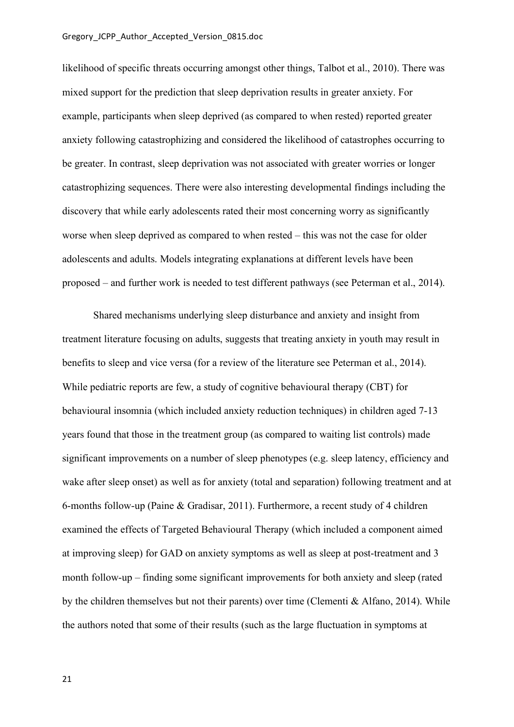#### Gregory\_JCPP\_Author\_Accepted\_Version\_0815.doc

likelihood of specific threats occurring amongst other things, Talbot et al., 2010). There was mixed support for the prediction that sleep deprivation results in greater anxiety. For example, participants when sleep deprived (as compared to when rested) reported greater anxiety following catastrophizing and considered the likelihood of catastrophes occurring to be greater. In contrast, sleep deprivation was not associated with greater worries or longer catastrophizing sequences. There were also interesting developmental findings including the discovery that while early adolescents rated their most concerning worry as significantly worse when sleep deprived as compared to when rested – this was not the case for older adolescents and adults. Models integrating explanations at different levels have been proposed – and further work is needed to test different pathways (see Peterman et al., 2014).

Shared mechanisms underlying sleep disturbance and anxiety and insight from treatment literature focusing on adults, suggests that treating anxiety in youth may result in benefits to sleep and vice versa (for a review of the literature see Peterman et al., 2014). While pediatric reports are few, a study of cognitive behavioural therapy (CBT) for behavioural insomnia (which included anxiety reduction techniques) in children aged 7-13 years found that those in the treatment group (as compared to waiting list controls) made significant improvements on a number of sleep phenotypes (e.g. sleep latency, efficiency and wake after sleep onset) as well as for anxiety (total and separation) following treatment and at 6-months follow-up (Paine & Gradisar, 2011). Furthermore, a recent study of 4 children examined the effects of Targeted Behavioural Therapy (which included a component aimed at improving sleep) for GAD on anxiety symptoms as well as sleep at post-treatment and 3 month follow-up – finding some significant improvements for both anxiety and sleep (rated by the children themselves but not their parents) over time (Clementi & Alfano, 2014). While the authors noted that some of their results (such as the large fluctuation in symptoms at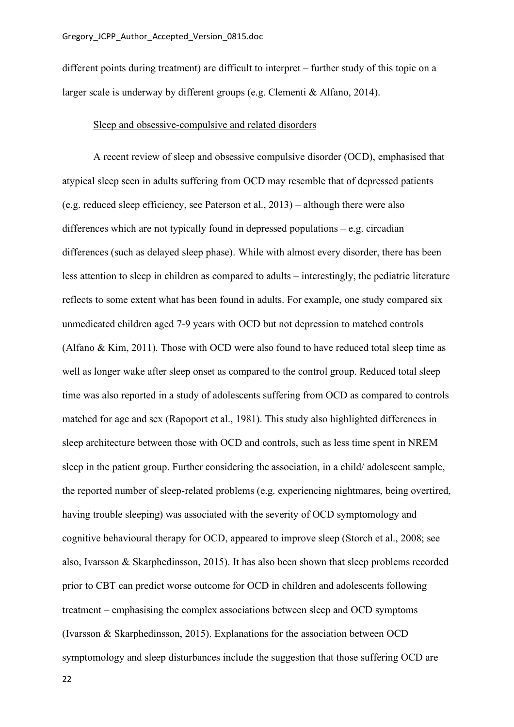different points during treatment) are difficult to interpret – further study of this topic on a larger scale is underway by different groups (e.g. Clementi & Alfano, 2014).

### Sleep and obsessive-compulsive and related disorders

A recent review of sleep and obsessive compulsive disorder (OCD), emphasised that atypical sleep seen in adults suffering from OCD may resemble that of depressed patients (e.g. reduced sleep efficiency, see Paterson et al., 2013) – although there were also differences which are not typically found in depressed populations – e.g. circadian differences (such as delayed sleep phase). While with almost every disorder, there has been less attention to sleep in children as compared to adults – interestingly, the pediatric literature reflects to some extent what has been found in adults. For example, one study compared six unmedicated children aged 7-9 years with OCD but not depression to matched controls (Alfano & Kim, 2011). Those with OCD were also found to have reduced total sleep time as well as longer wake after sleep onset as compared to the control group. Reduced total sleep time was also reported in a study of adolescents suffering from OCD as compared to controls matched for age and sex (Rapoport et al., 1981). This study also highlighted differences in sleep architecture between those with OCD and controls, such as less time spent in NREM sleep in the patient group. Further considering the association, in a child/ adolescent sample, the reported number of sleep-related problems (e.g. experiencing nightmares, being overtired, having trouble sleeping) was associated with the severity of OCD symptomology and cognitive behavioural therapy for OCD, appeared to improve sleep (Storch et al., 2008; see also, Ivarsson & Skarphedinsson, 2015). It has also been shown that sleep problems recorded prior to CBT can predict worse outcome for OCD in children and adolescents following treatment – emphasising the complex associations between sleep and OCD symptoms (Ivarsson & Skarphedinsson, 2015). Explanations for the association between OCD symptomology and sleep disturbances include the suggestion that those suffering OCD are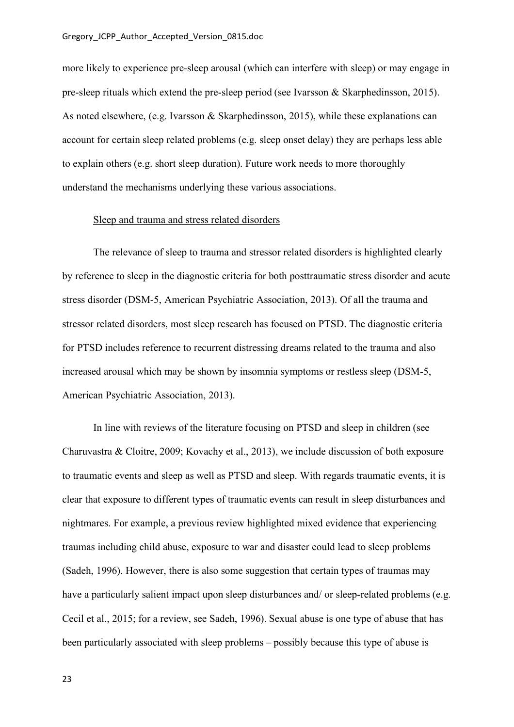more likely to experience pre-sleep arousal (which can interfere with sleep) or may engage in pre-sleep rituals which extend the pre-sleep period (see Ivarsson & Skarphedinsson, 2015). As noted elsewhere, (e.g. Ivarsson & Skarphedinsson, 2015), while these explanations can account for certain sleep related problems (e.g. sleep onset delay) they are perhaps less able to explain others (e.g. short sleep duration). Future work needs to more thoroughly understand the mechanisms underlying these various associations.

### Sleep and trauma and stress related disorders

The relevance of sleep to trauma and stressor related disorders is highlighted clearly by reference to sleep in the diagnostic criteria for both posttraumatic stress disorder and acute stress disorder (DSM-5, American Psychiatric Association, 2013). Of all the trauma and stressor related disorders, most sleep research has focused on PTSD. The diagnostic criteria for PTSD includes reference to recurrent distressing dreams related to the trauma and also increased arousal which may be shown by insomnia symptoms or restless sleep (DSM-5, American Psychiatric Association, 2013).

In line with reviews of the literature focusing on PTSD and sleep in children (see Charuvastra & Cloitre, 2009; Kovachy et al., 2013), we include discussion of both exposure to traumatic events and sleep as well as PTSD and sleep. With regards traumatic events, it is clear that exposure to different types of traumatic events can result in sleep disturbances and nightmares. For example, a previous review highlighted mixed evidence that experiencing traumas including child abuse, exposure to war and disaster could lead to sleep problems (Sadeh, 1996). However, there is also some suggestion that certain types of traumas may have a particularly salient impact upon sleep disturbances and/ or sleep-related problems (e.g. Cecil et al., 2015; for a review, see Sadeh, 1996). Sexual abuse is one type of abuse that has been particularly associated with sleep problems – possibly because this type of abuse is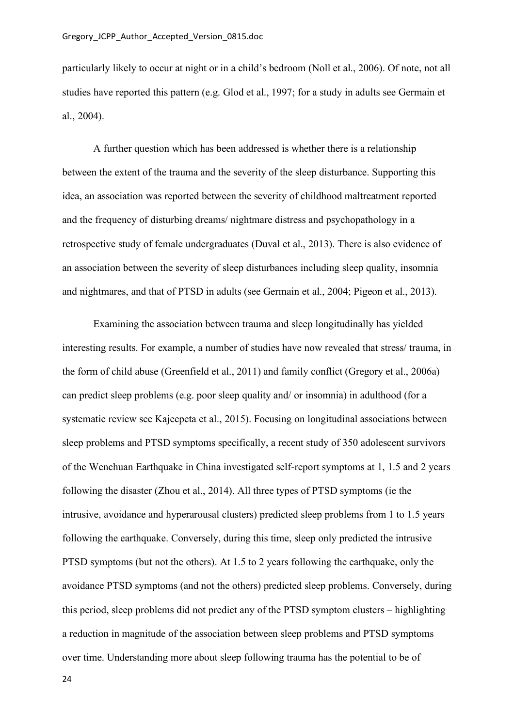particularly likely to occur at night or in a child's bedroom (Noll et al., 2006). Of note, not all studies have reported this pattern (e.g. Glod et al., 1997; for a study in adults see Germain et al., 2004).

A further question which has been addressed is whether there is a relationship between the extent of the trauma and the severity of the sleep disturbance. Supporting this idea, an association was reported between the severity of childhood maltreatment reported and the frequency of disturbing dreams/ nightmare distress and psychopathology in a retrospective study of female undergraduates (Duval et al., 2013). There is also evidence of an association between the severity of sleep disturbances including sleep quality, insomnia and nightmares, and that of PTSD in adults (see Germain et al., 2004; Pigeon et al., 2013).

Examining the association between trauma and sleep longitudinally has yielded interesting results. For example, a number of studies have now revealed that stress/ trauma, in the form of child abuse (Greenfield et al., 2011) and family conflict (Gregory et al., 2006a) can predict sleep problems (e.g. poor sleep quality and/ or insomnia) in adulthood (for a systematic review see Kajeepeta et al., 2015). Focusing on longitudinal associations between sleep problems and PTSD symptoms specifically, a recent study of 350 adolescent survivors of the Wenchuan Earthquake in China investigated self-report symptoms at 1, 1.5 and 2 years following the disaster (Zhou et al., 2014). All three types of PTSD symptoms (ie the intrusive, avoidance and hyperarousal clusters) predicted sleep problems from 1 to 1.5 years following the earthquake. Conversely, during this time, sleep only predicted the intrusive PTSD symptoms (but not the others). At 1.5 to 2 years following the earthquake, only the avoidance PTSD symptoms (and not the others) predicted sleep problems. Conversely, during this period, sleep problems did not predict any of the PTSD symptom clusters – highlighting a reduction in magnitude of the association between sleep problems and PTSD symptoms over time. Understanding more about sleep following trauma has the potential to be of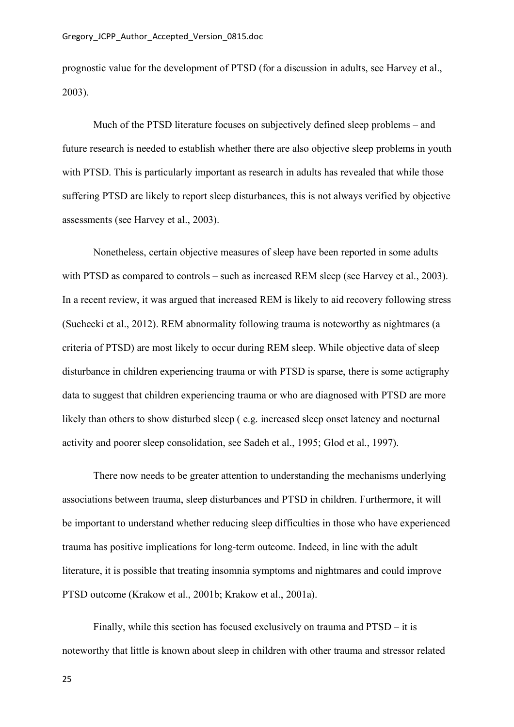prognostic value for the development of PTSD (for a discussion in adults, see Harvey et al., 2003).

Much of the PTSD literature focuses on subjectively defined sleep problems – and future research is needed to establish whether there are also objective sleep problems in youth with PTSD. This is particularly important as research in adults has revealed that while those suffering PTSD are likely to report sleep disturbances, this is not always verified by objective assessments (see Harvey et al., 2003).

Nonetheless, certain objective measures of sleep have been reported in some adults with PTSD as compared to controls – such as increased REM sleep (see Harvey et al., 2003). In a recent review, it was argued that increased REM is likely to aid recovery following stress (Suchecki et al., 2012). REM abnormality following trauma is noteworthy as nightmares (a criteria of PTSD) are most likely to occur during REM sleep. While objective data of sleep disturbance in children experiencing trauma or with PTSD is sparse, there is some actigraphy data to suggest that children experiencing trauma or who are diagnosed with PTSD are more likely than others to show disturbed sleep ( e.g. increased sleep onset latency and nocturnal activity and poorer sleep consolidation, see Sadeh et al., 1995; Glod et al., 1997).

There now needs to be greater attention to understanding the mechanisms underlying associations between trauma, sleep disturbances and PTSD in children. Furthermore, it will be important to understand whether reducing sleep difficulties in those who have experienced trauma has positive implications for long-term outcome. Indeed, in line with the adult literature, it is possible that treating insomnia symptoms and nightmares and could improve PTSD outcome (Krakow et al., 2001b; Krakow et al., 2001a).

Finally, while this section has focused exclusively on trauma and PTSD – it is noteworthy that little is known about sleep in children with other trauma and stressor related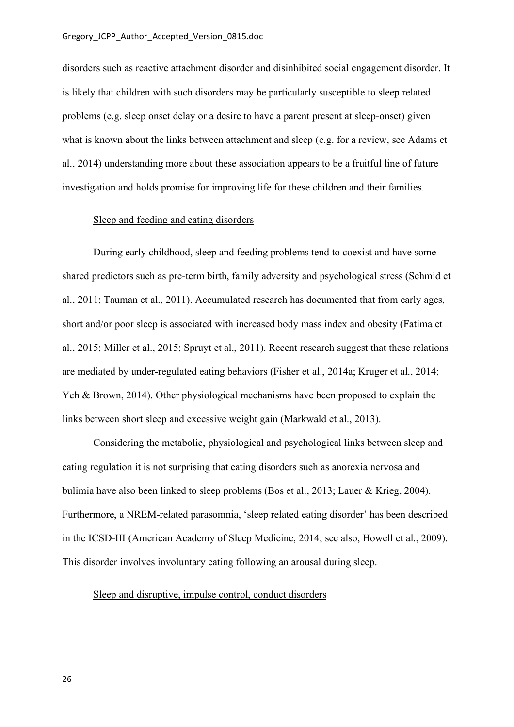disorders such as reactive attachment disorder and disinhibited social engagement disorder. It is likely that children with such disorders may be particularly susceptible to sleep related problems (e.g. sleep onset delay or a desire to have a parent present at sleep-onset) given what is known about the links between attachment and sleep (e.g. for a review, see Adams et al., 2014) understanding more about these association appears to be a fruitful line of future investigation and holds promise for improving life for these children and their families.

### Sleep and feeding and eating disorders

During early childhood, sleep and feeding problems tend to coexist and have some shared predictors such as pre-term birth, family adversity and psychological stress (Schmid et al., 2011; Tauman et al., 2011). Accumulated research has documented that from early ages, short and/or poor sleep is associated with increased body mass index and obesity (Fatima et al., 2015; Miller et al., 2015; Spruyt et al., 2011). Recent research suggest that these relations are mediated by under-regulated eating behaviors (Fisher et al., 2014a; Kruger et al., 2014; Yeh & Brown, 2014). Other physiological mechanisms have been proposed to explain the links between short sleep and excessive weight gain (Markwald et al., 2013).

Considering the metabolic, physiological and psychological links between sleep and eating regulation it is not surprising that eating disorders such as anorexia nervosa and bulimia have also been linked to sleep problems (Bos et al., 2013; Lauer & Krieg, 2004). Furthermore, a NREM-related parasomnia, 'sleep related eating disorder' has been described in the ICSD-III (American Academy of Sleep Medicine, 2014; see also, Howell et al., 2009). This disorder involves involuntary eating following an arousal during sleep.

## Sleep and disruptive, impulse control, conduct disorders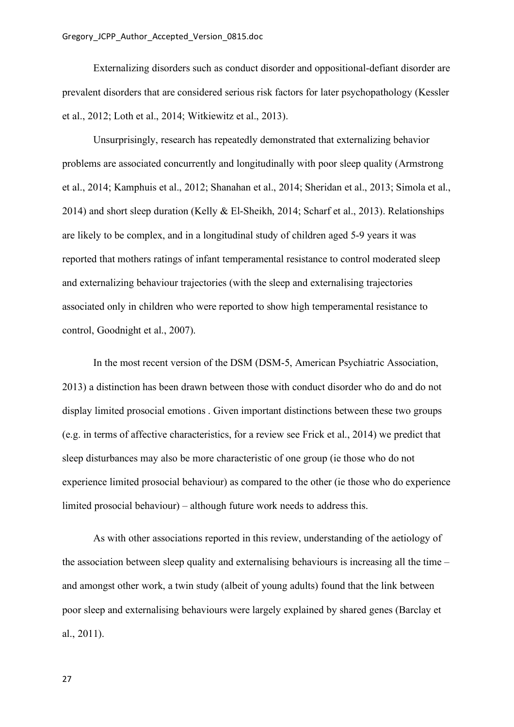Externalizing disorders such as conduct disorder and oppositional-defiant disorder are prevalent disorders that are considered serious risk factors for later psychopathology (Kessler et al., 2012; Loth et al., 2014; Witkiewitz et al., 2013).

Unsurprisingly, research has repeatedly demonstrated that externalizing behavior problems are associated concurrently and longitudinally with poor sleep quality (Armstrong et al., 2014; Kamphuis et al., 2012; Shanahan et al., 2014; Sheridan et al., 2013; Simola et al., 2014) and short sleep duration (Kelly & El-Sheikh, 2014; Scharf et al., 2013). Relationships are likely to be complex, and in a longitudinal study of children aged 5-9 years it was reported that mothers ratings of infant temperamental resistance to control moderated sleep and externalizing behaviour trajectories (with the sleep and externalising trajectories associated only in children who were reported to show high temperamental resistance to control, Goodnight et al., 2007).

In the most recent version of the DSM (DSM-5, American Psychiatric Association, 2013) a distinction has been drawn between those with conduct disorder who do and do not display limited prosocial emotions . Given important distinctions between these two groups (e.g. in terms of affective characteristics, for a review see Frick et al., 2014) we predict that sleep disturbances may also be more characteristic of one group (ie those who do not experience limited prosocial behaviour) as compared to the other (ie those who do experience limited prosocial behaviour) – although future work needs to address this.

As with other associations reported in this review, understanding of the aetiology of the association between sleep quality and externalising behaviours is increasing all the time – and amongst other work, a twin study (albeit of young adults) found that the link between poor sleep and externalising behaviours were largely explained by shared genes (Barclay et al., 2011).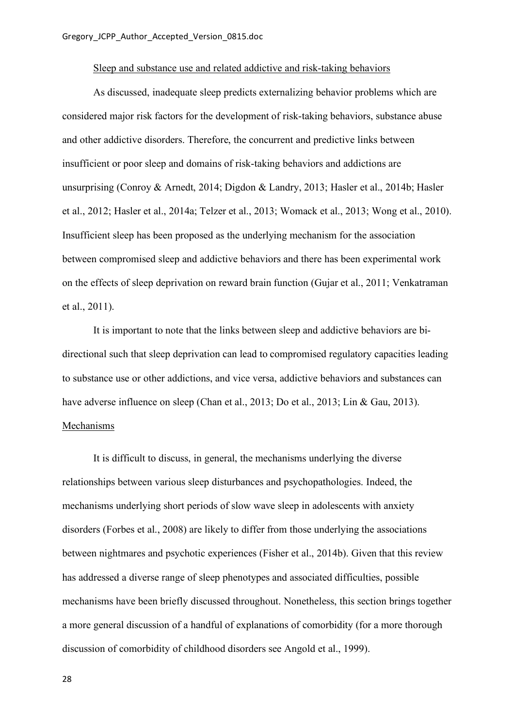### Sleep and substance use and related addictive and risk-taking behaviors

As discussed, inadequate sleep predicts externalizing behavior problems which are considered major risk factors for the development of risk-taking behaviors, substance abuse and other addictive disorders. Therefore, the concurrent and predictive links between insufficient or poor sleep and domains of risk-taking behaviors and addictions are unsurprising (Conroy & Arnedt, 2014; Digdon & Landry, 2013; Hasler et al., 2014b; Hasler et al., 2012; Hasler et al., 2014a; Telzer et al., 2013; Womack et al., 2013; Wong et al., 2010). Insufficient sleep has been proposed as the underlying mechanism for the association between compromised sleep and addictive behaviors and there has been experimental work on the effects of sleep deprivation on reward brain function (Gujar et al., 2011; Venkatraman et al., 2011).

It is important to note that the links between sleep and addictive behaviors are bidirectional such that sleep deprivation can lead to compromised regulatory capacities leading to substance use or other addictions, and vice versa, addictive behaviors and substances can have adverse influence on sleep (Chan et al., 2013; Do et al., 2013; Lin & Gau, 2013). Mechanisms

It is difficult to discuss, in general, the mechanisms underlying the diverse relationships between various sleep disturbances and psychopathologies. Indeed, the mechanisms underlying short periods of slow wave sleep in adolescents with anxiety disorders (Forbes et al., 2008) are likely to differ from those underlying the associations between nightmares and psychotic experiences (Fisher et al., 2014b). Given that this review has addressed a diverse range of sleep phenotypes and associated difficulties, possible mechanisms have been briefly discussed throughout. Nonetheless, this section brings together a more general discussion of a handful of explanations of comorbidity (for a more thorough discussion of comorbidity of childhood disorders see Angold et al., 1999).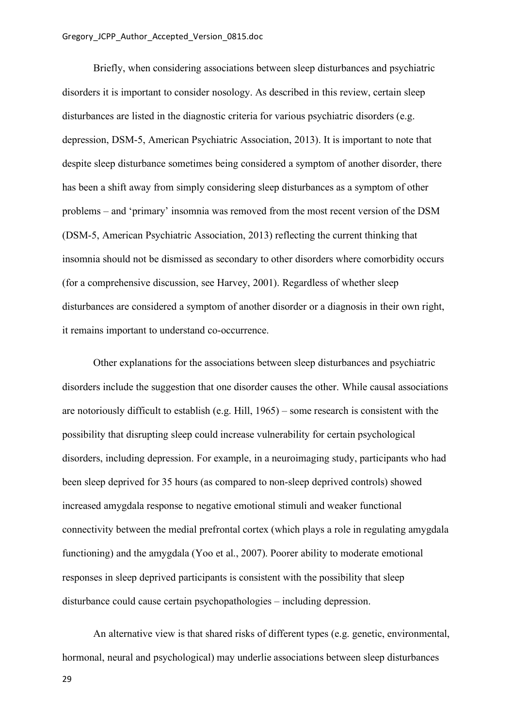Briefly, when considering associations between sleep disturbances and psychiatric disorders it is important to consider nosology. As described in this review, certain sleep disturbances are listed in the diagnostic criteria for various psychiatric disorders (e.g. depression, DSM-5, American Psychiatric Association, 2013). It is important to note that despite sleep disturbance sometimes being considered a symptom of another disorder, there has been a shift away from simply considering sleep disturbances as a symptom of other problems – and 'primary' insomnia was removed from the most recent version of the DSM (DSM-5, American Psychiatric Association, 2013) reflecting the current thinking that insomnia should not be dismissed as secondary to other disorders where comorbidity occurs (for a comprehensive discussion, see Harvey, 2001). Regardless of whether sleep disturbances are considered a symptom of another disorder or a diagnosis in their own right, it remains important to understand co-occurrence.

Other explanations for the associations between sleep disturbances and psychiatric disorders include the suggestion that one disorder causes the other. While causal associations are notoriously difficult to establish (e.g. Hill, 1965) – some research is consistent with the possibility that disrupting sleep could increase vulnerability for certain psychological disorders, including depression. For example, in a neuroimaging study, participants who had been sleep deprived for 35 hours (as compared to non-sleep deprived controls) showed increased amygdala response to negative emotional stimuli and weaker functional connectivity between the medial prefrontal cortex (which plays a role in regulating amygdala functioning) and the amygdala (Yoo et al., 2007). Poorer ability to moderate emotional responses in sleep deprived participants is consistent with the possibility that sleep disturbance could cause certain psychopathologies – including depression.

An alternative view is that shared risks of different types (e.g. genetic, environmental, hormonal, neural and psychological) may underlie associations between sleep disturbances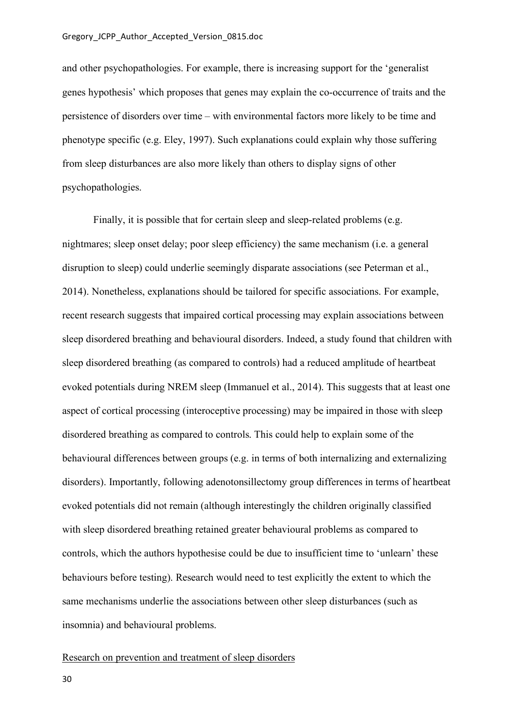and other psychopathologies. For example, there is increasing support for the 'generalist genes hypothesis' which proposes that genes may explain the co-occurrence of traits and the persistence of disorders over time – with environmental factors more likely to be time and phenotype specific (e.g. Eley, 1997). Such explanations could explain why those suffering from sleep disturbances are also more likely than others to display signs of other psychopathologies.

Finally, it is possible that for certain sleep and sleep-related problems (e.g. nightmares; sleep onset delay; poor sleep efficiency) the same mechanism (i.e. a general disruption to sleep) could underlie seemingly disparate associations (see Peterman et al., 2014). Nonetheless, explanations should be tailored for specific associations. For example, recent research suggests that impaired cortical processing may explain associations between sleep disordered breathing and behavioural disorders. Indeed, a study found that children with sleep disordered breathing (as compared to controls) had a reduced amplitude of heartbeat evoked potentials during NREM sleep (Immanuel et al., 2014). This suggests that at least one aspect of cortical processing (interoceptive processing) may be impaired in those with sleep disordered breathing as compared to controls. This could help to explain some of the behavioural differences between groups (e.g. in terms of both internalizing and externalizing disorders). Importantly, following adenotonsillectomy group differences in terms of heartbeat evoked potentials did not remain (although interestingly the children originally classified with sleep disordered breathing retained greater behavioural problems as compared to controls, which the authors hypothesise could be due to insufficient time to 'unlearn' these behaviours before testing). Research would need to test explicitly the extent to which the same mechanisms underlie the associations between other sleep disturbances (such as insomnia) and behavioural problems.

#### Research on prevention and treatment of sleep disorders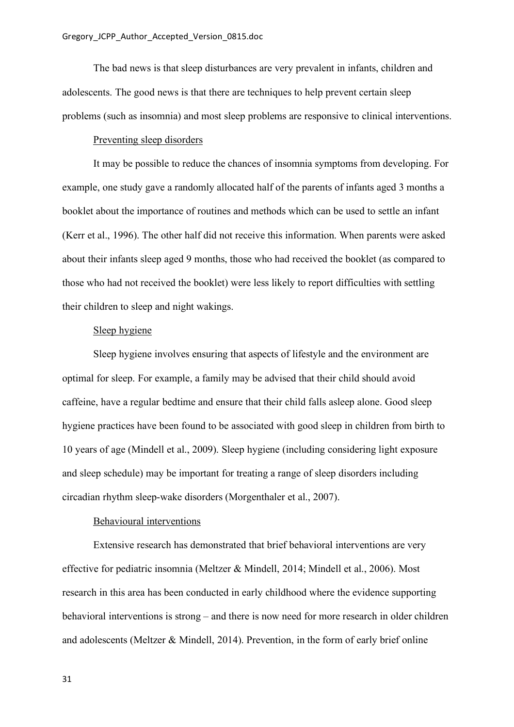The bad news is that sleep disturbances are very prevalent in infants, children and adolescents. The good news is that there are techniques to help prevent certain sleep problems (such as insomnia) and most sleep problems are responsive to clinical interventions.

# Preventing sleep disorders

It may be possible to reduce the chances of insomnia symptoms from developing. For example, one study gave a randomly allocated half of the parents of infants aged 3 months a booklet about the importance of routines and methods which can be used to settle an infant (Kerr et al., 1996). The other half did not receive this information. When parents were asked about their infants sleep aged 9 months, those who had received the booklet (as compared to those who had not received the booklet) were less likely to report difficulties with settling their children to sleep and night wakings.

# Sleep hygiene

Sleep hygiene involves ensuring that aspects of lifestyle and the environment are optimal for sleep. For example, a family may be advised that their child should avoid caffeine, have a regular bedtime and ensure that their child falls asleep alone. Good sleep hygiene practices have been found to be associated with good sleep in children from birth to 10 years of age (Mindell et al., 2009). Sleep hygiene (including considering light exposure and sleep schedule) may be important for treating a range of sleep disorders including circadian rhythm sleep-wake disorders (Morgenthaler et al., 2007).

#### Behavioural interventions

Extensive research has demonstrated that brief behavioral interventions are very effective for pediatric insomnia (Meltzer & Mindell, 2014; Mindell et al., 2006). Most research in this area has been conducted in early childhood where the evidence supporting behavioral interventions is strong – and there is now need for more research in older children and adolescents (Meltzer & Mindell, 2014). Prevention, in the form of early brief online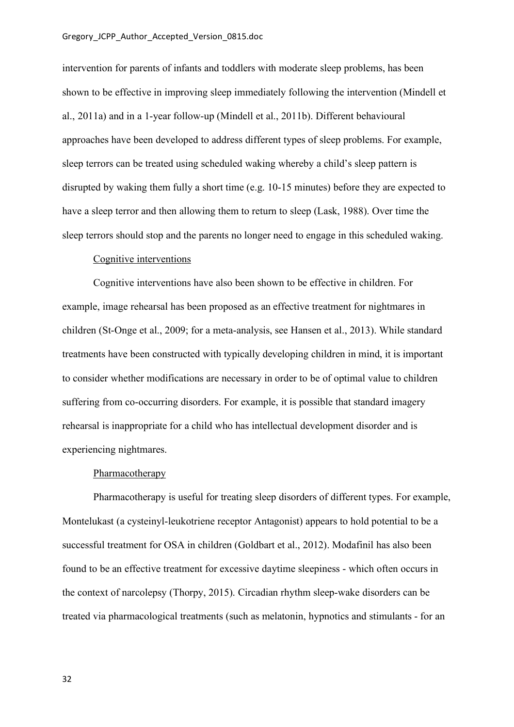intervention for parents of infants and toddlers with moderate sleep problems, has been shown to be effective in improving sleep immediately following the intervention (Mindell et al., 2011a) and in a 1-year follow-up (Mindell et al., 2011b). Different behavioural approaches have been developed to address different types of sleep problems. For example, sleep terrors can be treated using scheduled waking whereby a child's sleep pattern is disrupted by waking them fully a short time (e.g. 10-15 minutes) before they are expected to have a sleep terror and then allowing them to return to sleep (Lask, 1988). Over time the sleep terrors should stop and the parents no longer need to engage in this scheduled waking.

#### Cognitive interventions

Cognitive interventions have also been shown to be effective in children. For example, image rehearsal has been proposed as an effective treatment for nightmares in children (St-Onge et al., 2009; for a meta-analysis, see Hansen et al., 2013). While standard treatments have been constructed with typically developing children in mind, it is important to consider whether modifications are necessary in order to be of optimal value to children suffering from co-occurring disorders. For example, it is possible that standard imagery rehearsal is inappropriate for a child who has intellectual development disorder and is experiencing nightmares.

## **Pharmacotherapy**

Pharmacotherapy is useful for treating sleep disorders of different types. For example, Montelukast (a cysteinyl-leukotriene receptor Antagonist) appears to hold potential to be a successful treatment for OSA in children (Goldbart et al., 2012). Modafinil has also been found to be an effective treatment for excessive daytime sleepiness - which often occurs in the context of narcolepsy (Thorpy, 2015). Circadian rhythm sleep-wake disorders can be treated via pharmacological treatments (such as melatonin, hypnotics and stimulants - for an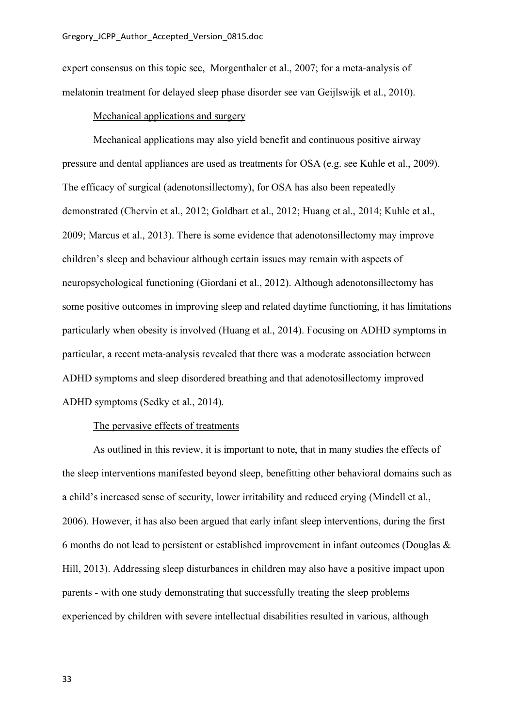expert consensus on this topic see, Morgenthaler et al., 2007; for a meta-analysis of melatonin treatment for delayed sleep phase disorder see van Geijlswijk et al., 2010).

#### Mechanical applications and surgery

Mechanical applications may also yield benefit and continuous positive airway pressure and dental appliances are used as treatments for OSA (e.g. see Kuhle et al., 2009). The efficacy of surgical (adenotonsillectomy), for OSA has also been repeatedly demonstrated (Chervin et al., 2012; Goldbart et al., 2012; Huang et al., 2014; Kuhle et al., 2009; Marcus et al., 2013). There is some evidence that adenotonsillectomy may improve children's sleep and behaviour although certain issues may remain with aspects of neuropsychological functioning (Giordani et al., 2012). Although adenotonsillectomy has some positive outcomes in improving sleep and related daytime functioning, it has limitations particularly when obesity is involved (Huang et al., 2014). Focusing on ADHD symptoms in particular, a recent meta-analysis revealed that there was a moderate association between ADHD symptoms and sleep disordered breathing and that adenotosillectomy improved ADHD symptoms (Sedky et al., 2014).

#### The pervasive effects of treatments

As outlined in this review, it is important to note, that in many studies the effects of the sleep interventions manifested beyond sleep, benefitting other behavioral domains such as a child's increased sense of security, lower irritability and reduced crying (Mindell et al., 2006). However, it has also been argued that early infant sleep interventions, during the first 6 months do not lead to persistent or established improvement in infant outcomes (Douglas & Hill, 2013). Addressing sleep disturbances in children may also have a positive impact upon parents - with one study demonstrating that successfully treating the sleep problems experienced by children with severe intellectual disabilities resulted in various, although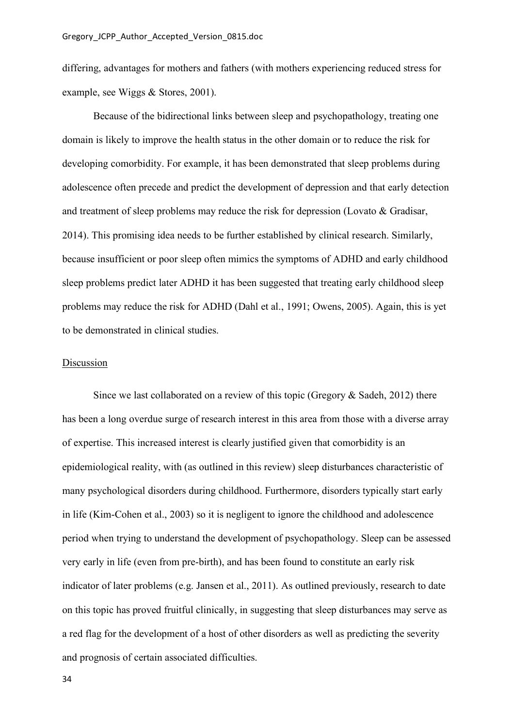differing, advantages for mothers and fathers (with mothers experiencing reduced stress for example, see Wiggs & Stores, 2001).

Because of the bidirectional links between sleep and psychopathology, treating one domain is likely to improve the health status in the other domain or to reduce the risk for developing comorbidity. For example, it has been demonstrated that sleep problems during adolescence often precede and predict the development of depression and that early detection and treatment of sleep problems may reduce the risk for depression (Lovato & Gradisar, 2014). This promising idea needs to be further established by clinical research. Similarly, because insufficient or poor sleep often mimics the symptoms of ADHD and early childhood sleep problems predict later ADHD it has been suggested that treating early childhood sleep problems may reduce the risk for ADHD (Dahl et al., 1991; Owens, 2005). Again, this is yet to be demonstrated in clinical studies.

#### Discussion

Since we last collaborated on a review of this topic (Gregory & Sadeh, 2012) there has been a long overdue surge of research interest in this area from those with a diverse array of expertise. This increased interest is clearly justified given that comorbidity is an epidemiological reality, with (as outlined in this review) sleep disturbances characteristic of many psychological disorders during childhood. Furthermore, disorders typically start early in life (Kim-Cohen et al., 2003) so it is negligent to ignore the childhood and adolescence period when trying to understand the development of psychopathology. Sleep can be assessed very early in life (even from pre-birth), and has been found to constitute an early risk indicator of later problems (e.g. Jansen et al., 2011). As outlined previously, research to date on this topic has proved fruitful clinically, in suggesting that sleep disturbances may serve as a red flag for the development of a host of other disorders as well as predicting the severity and prognosis of certain associated difficulties.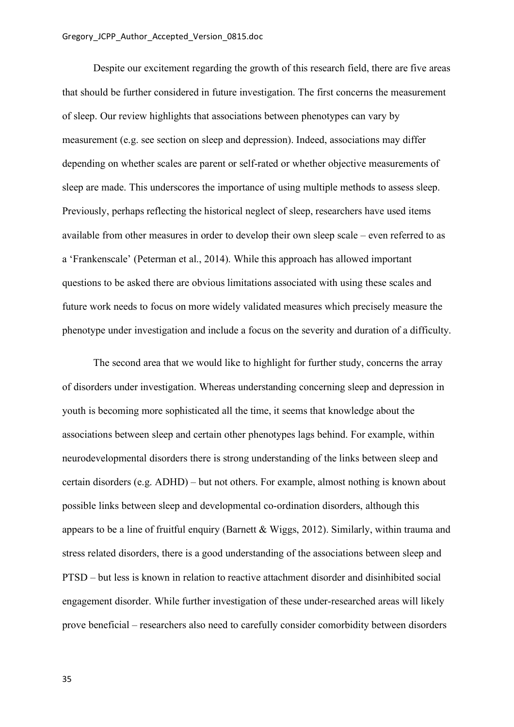Despite our excitement regarding the growth of this research field, there are five areas that should be further considered in future investigation. The first concerns the measurement of sleep. Our review highlights that associations between phenotypes can vary by measurement (e.g. see section on sleep and depression). Indeed, associations may differ depending on whether scales are parent or self-rated or whether objective measurements of sleep are made. This underscores the importance of using multiple methods to assess sleep. Previously, perhaps reflecting the historical neglect of sleep, researchers have used items available from other measures in order to develop their own sleep scale – even referred to as a 'Frankenscale' (Peterman et al., 2014). While this approach has allowed important questions to be asked there are obvious limitations associated with using these scales and future work needs to focus on more widely validated measures which precisely measure the phenotype under investigation and include a focus on the severity and duration of a difficulty.

The second area that we would like to highlight for further study, concerns the array of disorders under investigation. Whereas understanding concerning sleep and depression in youth is becoming more sophisticated all the time, it seems that knowledge about the associations between sleep and certain other phenotypes lags behind. For example, within neurodevelopmental disorders there is strong understanding of the links between sleep and certain disorders (e.g. ADHD) – but not others. For example, almost nothing is known about possible links between sleep and developmental co-ordination disorders, although this appears to be a line of fruitful enquiry (Barnett & Wiggs, 2012). Similarly, within trauma and stress related disorders, there is a good understanding of the associations between sleep and PTSD – but less is known in relation to reactive attachment disorder and disinhibited social engagement disorder. While further investigation of these under-researched areas will likely prove beneficial – researchers also need to carefully consider comorbidity between disorders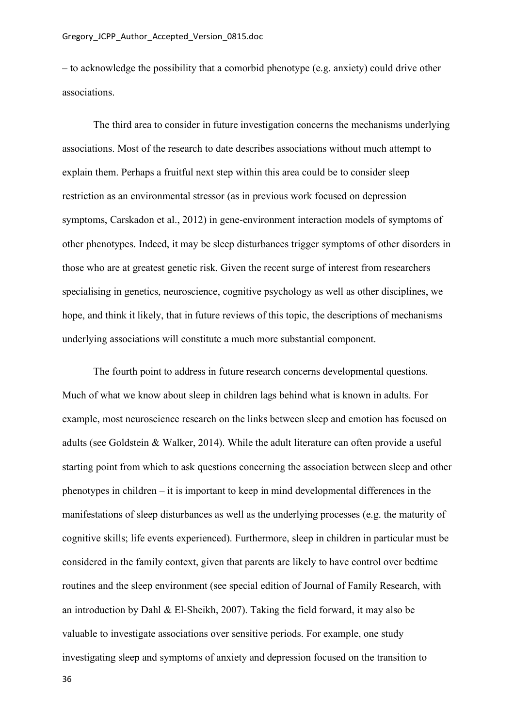– to acknowledge the possibility that a comorbid phenotype (e.g. anxiety) could drive other associations.

The third area to consider in future investigation concerns the mechanisms underlying associations. Most of the research to date describes associations without much attempt to explain them. Perhaps a fruitful next step within this area could be to consider sleep restriction as an environmental stressor (as in previous work focused on depression symptoms, Carskadon et al., 2012) in gene-environment interaction models of symptoms of other phenotypes. Indeed, it may be sleep disturbances trigger symptoms of other disorders in those who are at greatest genetic risk. Given the recent surge of interest from researchers specialising in genetics, neuroscience, cognitive psychology as well as other disciplines, we hope, and think it likely, that in future reviews of this topic, the descriptions of mechanisms underlying associations will constitute a much more substantial component.

The fourth point to address in future research concerns developmental questions. Much of what we know about sleep in children lags behind what is known in adults. For example, most neuroscience research on the links between sleep and emotion has focused on adults (see Goldstein & Walker, 2014). While the adult literature can often provide a useful starting point from which to ask questions concerning the association between sleep and other phenotypes in children – it is important to keep in mind developmental differences in the manifestations of sleep disturbances as well as the underlying processes (e.g. the maturity of cognitive skills; life events experienced). Furthermore, sleep in children in particular must be considered in the family context, given that parents are likely to have control over bedtime routines and the sleep environment (see special edition of Journal of Family Research, with an introduction by Dahl & El-Sheikh, 2007). Taking the field forward, it may also be valuable to investigate associations over sensitive periods. For example, one study investigating sleep and symptoms of anxiety and depression focused on the transition to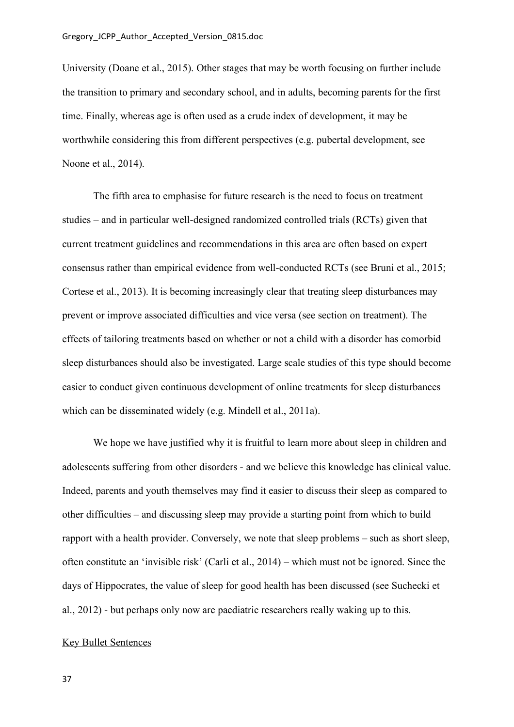University (Doane et al., 2015). Other stages that may be worth focusing on further include the transition to primary and secondary school, and in adults, becoming parents for the first time. Finally, whereas age is often used as a crude index of development, it may be worthwhile considering this from different perspectives (e.g. pubertal development, see Noone et al., 2014).

The fifth area to emphasise for future research is the need to focus on treatment studies – and in particular well-designed randomized controlled trials (RCTs) given that current treatment guidelines and recommendations in this area are often based on expert consensus rather than empirical evidence from well-conducted RCTs (see Bruni et al., 2015; Cortese et al., 2013). It is becoming increasingly clear that treating sleep disturbances may prevent or improve associated difficulties and vice versa (see section on treatment). The effects of tailoring treatments based on whether or not a child with a disorder has comorbid sleep disturbances should also be investigated. Large scale studies of this type should become easier to conduct given continuous development of online treatments for sleep disturbances which can be disseminated widely (e.g. Mindell et al., 2011a).

We hope we have justified why it is fruitful to learn more about sleep in children and adolescents suffering from other disorders - and we believe this knowledge has clinical value. Indeed, parents and youth themselves may find it easier to discuss their sleep as compared to other difficulties – and discussing sleep may provide a starting point from which to build rapport with a health provider. Conversely, we note that sleep problems – such as short sleep, often constitute an 'invisible risk' (Carli et al., 2014) – which must not be ignored. Since the days of Hippocrates, the value of sleep for good health has been discussed (see Suchecki et al., 2012) - but perhaps only now are paediatric researchers really waking up to this.

## Key Bullet Sentences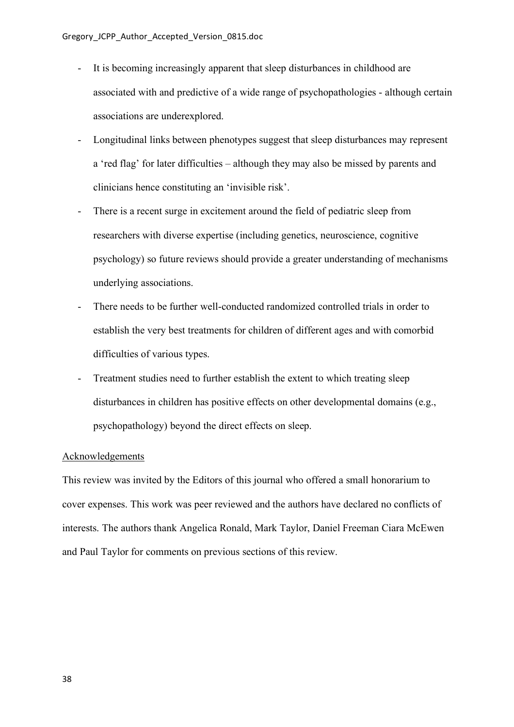- It is becoming increasingly apparent that sleep disturbances in childhood are associated with and predictive of a wide range of psychopathologies - although certain associations are underexplored.
- Longitudinal links between phenotypes suggest that sleep disturbances may represent a 'red flag' for later difficulties – although they may also be missed by parents and clinicians hence constituting an 'invisible risk'.
- There is a recent surge in excitement around the field of pediatric sleep from researchers with diverse expertise (including genetics, neuroscience, cognitive psychology) so future reviews should provide a greater understanding of mechanisms underlying associations.
- There needs to be further well-conducted randomized controlled trials in order to establish the very best treatments for children of different ages and with comorbid difficulties of various types.
- Treatment studies need to further establish the extent to which treating sleep disturbances in children has positive effects on other developmental domains (e.g., psychopathology) beyond the direct effects on sleep.

## Acknowledgements

This review was invited by the Editors of this journal who offered a small honorarium to cover expenses. This work was peer reviewed and the authors have declared no conflicts of interests. The authors thank Angelica Ronald, Mark Taylor, Daniel Freeman Ciara McEwen and Paul Taylor for comments on previous sections of this review.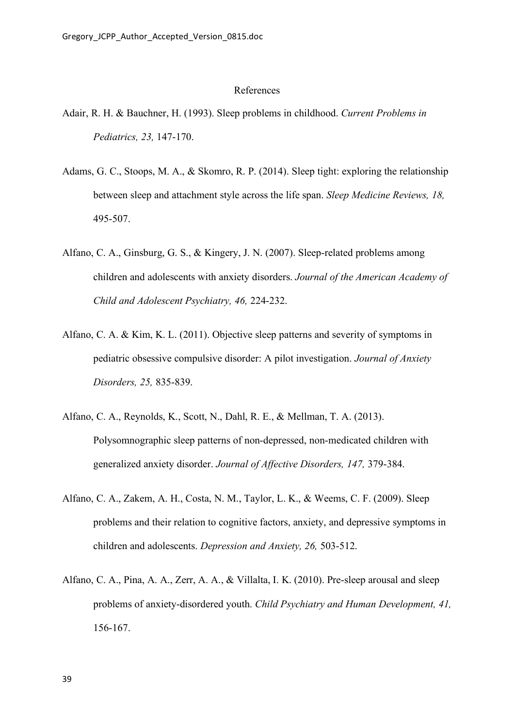## References

- Adair, R. H. & Bauchner, H. (1993). Sleep problems in childhood. *Current Problems in Pediatrics, 23,* 147-170.
- Adams, G. C., Stoops, M. A., & Skomro, R. P. (2014). Sleep tight: exploring the relationship between sleep and attachment style across the life span. *Sleep Medicine Reviews, 18,* 495-507.
- Alfano, C. A., Ginsburg, G. S., & Kingery, J. N. (2007). Sleep-related problems among children and adolescents with anxiety disorders. *Journal of the American Academy of Child and Adolescent Psychiatry, 46,* 224-232.
- Alfano, C. A. & Kim, K. L. (2011). Objective sleep patterns and severity of symptoms in pediatric obsessive compulsive disorder: A pilot investigation. *Journal of Anxiety Disorders, 25,* 835-839.
- Alfano, C. A., Reynolds, K., Scott, N., Dahl, R. E., & Mellman, T. A. (2013). Polysomnographic sleep patterns of non-depressed, non-medicated children with generalized anxiety disorder. *Journal of Affective Disorders, 147,* 379-384.
- Alfano, C. A., Zakem, A. H., Costa, N. M., Taylor, L. K., & Weems, C. F. (2009). Sleep problems and their relation to cognitive factors, anxiety, and depressive symptoms in children and adolescents. *Depression and Anxiety, 26,* 503-512.
- Alfano, C. A., Pina, A. A., Zerr, A. A., & Villalta, I. K. (2010). Pre-sleep arousal and sleep problems of anxiety-disordered youth. *Child Psychiatry and Human Development, 41,* 156-167.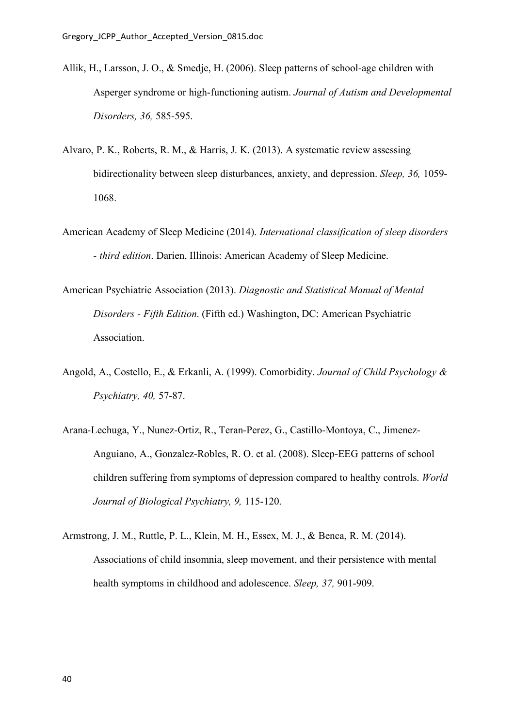- Allik, H., Larsson, J. O., & Smedje, H. (2006). Sleep patterns of school-age children with Asperger syndrome or high-functioning autism. *Journal of Autism and Developmental Disorders, 36,* 585-595.
- Alvaro, P. K., Roberts, R. M., & Harris, J. K. (2013). A systematic review assessing bidirectionality between sleep disturbances, anxiety, and depression. *Sleep, 36,* 1059- 1068.
- American Academy of Sleep Medicine (2014). *International classification of sleep disorders - third edition*. Darien, Illinois: American Academy of Sleep Medicine.
- American Psychiatric Association (2013). *Diagnostic and Statistical Manual of Mental Disorders - Fifth Edition*. (Fifth ed.) Washington, DC: American Psychiatric Association.
- Angold, A., Costello, E., & Erkanli, A. (1999). Comorbidity. *Journal of Child Psychology & Psychiatry, 40,* 57-87.
- Arana-Lechuga, Y., Nunez-Ortiz, R., Teran-Perez, G., Castillo-Montoya, C., Jimenez-Anguiano, A., Gonzalez-Robles, R. O. et al. (2008). Sleep-EEG patterns of school children suffering from symptoms of depression compared to healthy controls. *World Journal of Biological Psychiatry, 9,* 115-120.
- Armstrong, J. M., Ruttle, P. L., Klein, M. H., Essex, M. J., & Benca, R. M. (2014). Associations of child insomnia, sleep movement, and their persistence with mental health symptoms in childhood and adolescence. *Sleep, 37,* 901-909.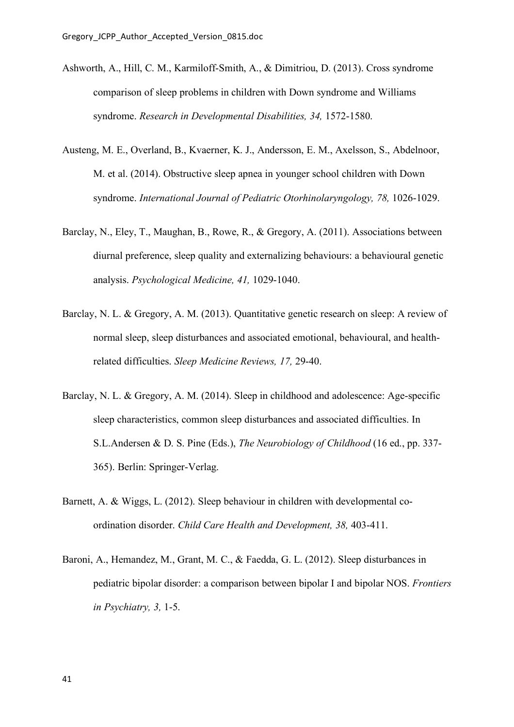- Ashworth, A., Hill, C. M., Karmiloff-Smith, A., & Dimitriou, D. (2013). Cross syndrome comparison of sleep problems in children with Down syndrome and Williams syndrome. *Research in Developmental Disabilities, 34,* 1572-1580.
- Austeng, M. E., Overland, B., Kvaerner, K. J., Andersson, E. M., Axelsson, S., Abdelnoor, M. et al. (2014). Obstructive sleep apnea in younger school children with Down syndrome. *International Journal of Pediatric Otorhinolaryngology, 78,* 1026-1029.
- Barclay, N., Eley, T., Maughan, B., Rowe, R., & Gregory, A. (2011). Associations between diurnal preference, sleep quality and externalizing behaviours: a behavioural genetic analysis. *Psychological Medicine, 41,* 1029-1040.
- Barclay, N. L. & Gregory, A. M. (2013). Quantitative genetic research on sleep: A review of normal sleep, sleep disturbances and associated emotional, behavioural, and healthrelated difficulties. *Sleep Medicine Reviews, 17,* 29-40.
- Barclay, N. L. & Gregory, A. M. (2014). Sleep in childhood and adolescence: Age-specific sleep characteristics, common sleep disturbances and associated difficulties. In S.L.Andersen & D. S. Pine (Eds.), *The Neurobiology of Childhood* (16 ed., pp. 337- 365). Berlin: Springer-Verlag.
- Barnett, A. & Wiggs, L. (2012). Sleep behaviour in children with developmental coordination disorder. *Child Care Health and Development, 38,* 403-411.
- Baroni, A., Hemandez, M., Grant, M. C., & Faedda, G. L. (2012). Sleep disturbances in pediatric bipolar disorder: a comparison between bipolar I and bipolar NOS. *Frontiers in Psychiatry, 3,* 1-5.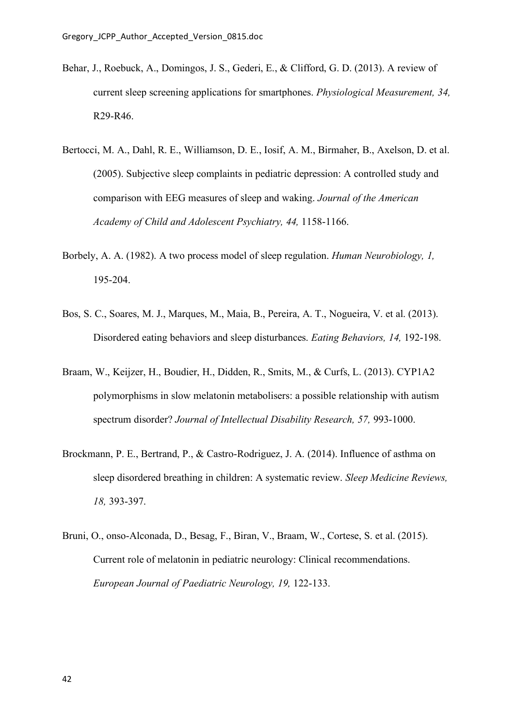- Behar, J., Roebuck, A., Domingos, J. S., Gederi, E., & Clifford, G. D. (2013). A review of current sleep screening applications for smartphones. *Physiological Measurement, 34,* R29-R46.
- Bertocci, M. A., Dahl, R. E., Williamson, D. E., Iosif, A. M., Birmaher, B., Axelson, D. et al. (2005). Subjective sleep complaints in pediatric depression: A controlled study and comparison with EEG measures of sleep and waking. *Journal of the American Academy of Child and Adolescent Psychiatry, 44,* 1158-1166.
- Borbely, A. A. (1982). A two process model of sleep regulation. *Human Neurobiology, 1,* 195-204.
- Bos, S. C., Soares, M. J., Marques, M., Maia, B., Pereira, A. T., Nogueira, V. et al. (2013). Disordered eating behaviors and sleep disturbances. *Eating Behaviors, 14,* 192-198.
- Braam, W., Keijzer, H., Boudier, H., Didden, R., Smits, M., & Curfs, L. (2013). CYP1A2 polymorphisms in slow melatonin metabolisers: a possible relationship with autism spectrum disorder? *Journal of Intellectual Disability Research, 57,* 993-1000.
- Brockmann, P. E., Bertrand, P., & Castro-Rodriguez, J. A. (2014). Influence of asthma on sleep disordered breathing in children: A systematic review. *Sleep Medicine Reviews, 18,* 393-397.
- Bruni, O., onso-Alconada, D., Besag, F., Biran, V., Braam, W., Cortese, S. et al. (2015). Current role of melatonin in pediatric neurology: Clinical recommendations. *European Journal of Paediatric Neurology, 19,* 122-133.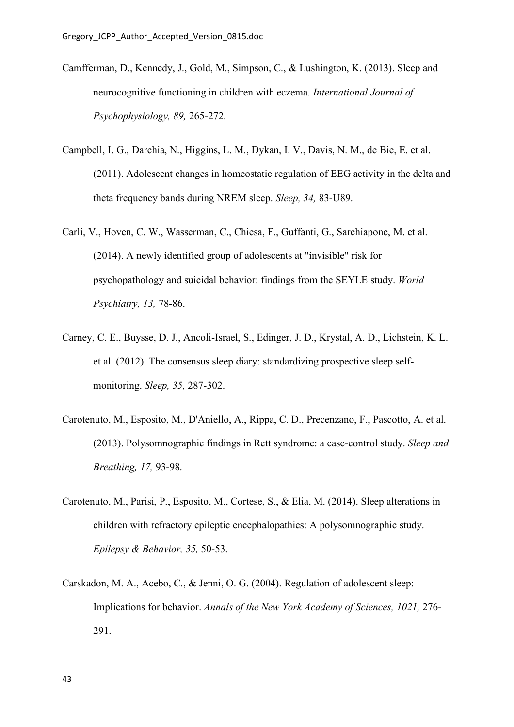- Camfferman, D., Kennedy, J., Gold, M., Simpson, C., & Lushington, K. (2013). Sleep and neurocognitive functioning in children with eczema. *International Journal of Psychophysiology, 89,* 265-272.
- Campbell, I. G., Darchia, N., Higgins, L. M., Dykan, I. V., Davis, N. M., de Bie, E. et al. (2011). Adolescent changes in homeostatic regulation of EEG activity in the delta and theta frequency bands during NREM sleep. *Sleep, 34,* 83-U89.
- Carli, V., Hoven, C. W., Wasserman, C., Chiesa, F., Guffanti, G., Sarchiapone, M. et al. (2014). A newly identified group of adolescents at "invisible" risk for psychopathology and suicidal behavior: findings from the SEYLE study. *World Psychiatry, 13,* 78-86.
- Carney, C. E., Buysse, D. J., Ancoli-Israel, S., Edinger, J. D., Krystal, A. D., Lichstein, K. L. et al. (2012). The consensus sleep diary: standardizing prospective sleep selfmonitoring. *Sleep, 35,* 287-302.
- Carotenuto, M., Esposito, M., D'Aniello, A., Rippa, C. D., Precenzano, F., Pascotto, A. et al. (2013). Polysomnographic findings in Rett syndrome: a case-control study. *Sleep and Breathing, 17,* 93-98.
- Carotenuto, M., Parisi, P., Esposito, M., Cortese, S., & Elia, M. (2014). Sleep alterations in children with refractory epileptic encephalopathies: A polysomnographic study. *Epilepsy & Behavior, 35,* 50-53.
- Carskadon, M. A., Acebo, C., & Jenni, O. G. (2004). Regulation of adolescent sleep: Implications for behavior. *Annals of the New York Academy of Sciences, 1021,* 276- 291.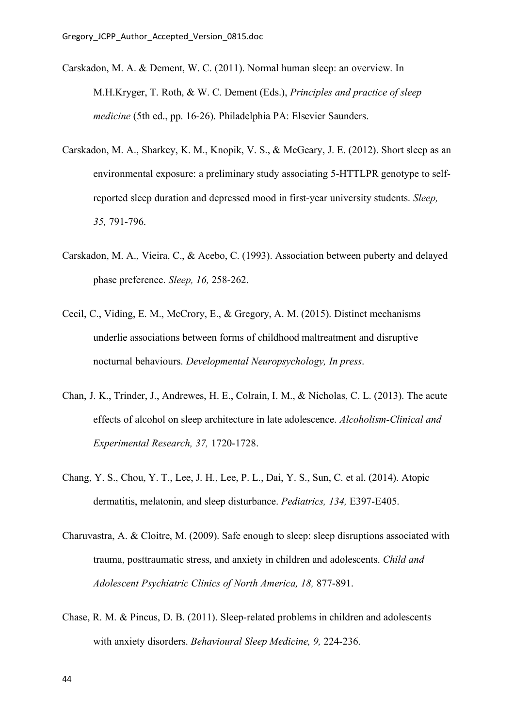- Carskadon, M. A. & Dement, W. C. (2011). Normal human sleep: an overview. In M.H.Kryger, T. Roth, & W. C. Dement (Eds.), *Principles and practice of sleep medicine* (5th ed., pp. 16-26). Philadelphia PA: Elsevier Saunders.
- Carskadon, M. A., Sharkey, K. M., Knopik, V. S., & McGeary, J. E. (2012). Short sleep as an environmental exposure: a preliminary study associating 5-HTTLPR genotype to selfreported sleep duration and depressed mood in first-year university students. *Sleep, 35,* 791-796.
- Carskadon, M. A., Vieira, C., & Acebo, C. (1993). Association between puberty and delayed phase preference. *Sleep, 16,* 258-262.
- Cecil, C., Viding, E. M., McCrory, E., & Gregory, A. M. (2015). Distinct mechanisms underlie associations between forms of childhood maltreatment and disruptive nocturnal behaviours. *Developmental Neuropsychology, In press*.
- Chan, J. K., Trinder, J., Andrewes, H. E., Colrain, I. M., & Nicholas, C. L. (2013). The acute effects of alcohol on sleep architecture in late adolescence. *Alcoholism-Clinical and Experimental Research, 37,* 1720-1728.
- Chang, Y. S., Chou, Y. T., Lee, J. H., Lee, P. L., Dai, Y. S., Sun, C. et al. (2014). Atopic dermatitis, melatonin, and sleep disturbance. *Pediatrics, 134,* E397-E405.
- Charuvastra, A. & Cloitre, M. (2009). Safe enough to sleep: sleep disruptions associated with trauma, posttraumatic stress, and anxiety in children and adolescents. *Child and Adolescent Psychiatric Clinics of North America, 18,* 877-891.
- Chase, R. M. & Pincus, D. B. (2011). Sleep-related problems in children and adolescents with anxiety disorders. *Behavioural Sleep Medicine, 9,* 224-236.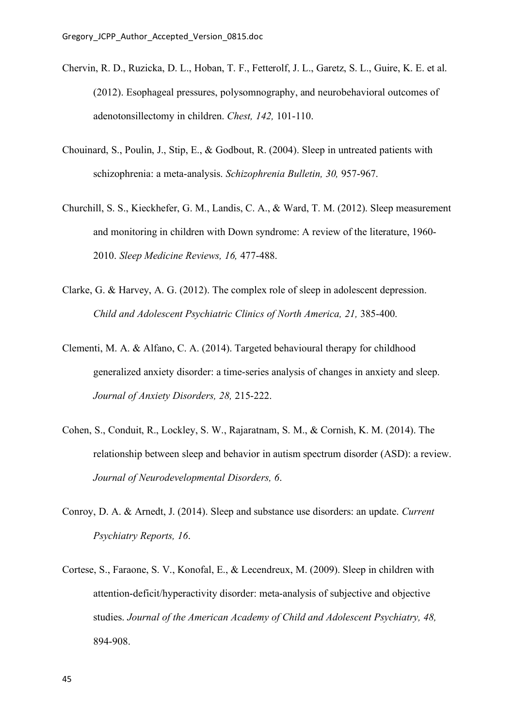- Chervin, R. D., Ruzicka, D. L., Hoban, T. F., Fetterolf, J. L., Garetz, S. L., Guire, K. E. et al. (2012). Esophageal pressures, polysomnography, and neurobehavioral outcomes of adenotonsillectomy in children. *Chest, 142,* 101-110.
- Chouinard, S., Poulin, J., Stip, E., & Godbout, R. (2004). Sleep in untreated patients with schizophrenia: a meta-analysis. *Schizophrenia Bulletin, 30,* 957-967.
- Churchill, S. S., Kieckhefer, G. M., Landis, C. A., & Ward, T. M. (2012). Sleep measurement and monitoring in children with Down syndrome: A review of the literature, 1960- 2010. *Sleep Medicine Reviews, 16,* 477-488.
- Clarke, G. & Harvey, A. G. (2012). The complex role of sleep in adolescent depression. *Child and Adolescent Psychiatric Clinics of North America, 21,* 385-400.
- Clementi, M. A. & Alfano, C. A. (2014). Targeted behavioural therapy for childhood generalized anxiety disorder: a time-series analysis of changes in anxiety and sleep. *Journal of Anxiety Disorders, 28,* 215-222.
- Cohen, S., Conduit, R., Lockley, S. W., Rajaratnam, S. M., & Cornish, K. M. (2014). The relationship between sleep and behavior in autism spectrum disorder (ASD): a review. *Journal of Neurodevelopmental Disorders, 6*.
- Conroy, D. A. & Arnedt, J. (2014). Sleep and substance use disorders: an update. *Current Psychiatry Reports, 16*.
- Cortese, S., Faraone, S. V., Konofal, E., & Lecendreux, M. (2009). Sleep in children with attention-deficit/hyperactivity disorder: meta-analysis of subjective and objective studies. *Journal of the American Academy of Child and Adolescent Psychiatry, 48,* 894-908.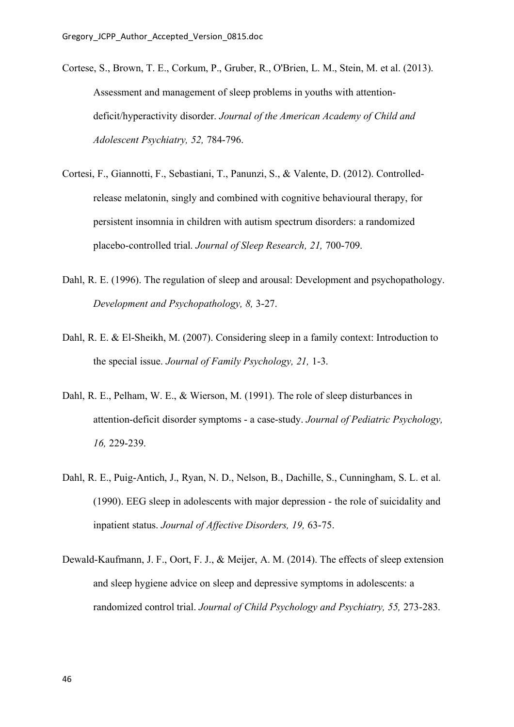- Cortese, S., Brown, T. E., Corkum, P., Gruber, R., O'Brien, L. M., Stein, M. et al. (2013). Assessment and management of sleep problems in youths with attentiondeficit/hyperactivity disorder. *Journal of the American Academy of Child and Adolescent Psychiatry, 52,* 784-796.
- Cortesi, F., Giannotti, F., Sebastiani, T., Panunzi, S., & Valente, D. (2012). Controlledrelease melatonin, singly and combined with cognitive behavioural therapy, for persistent insomnia in children with autism spectrum disorders: a randomized placebo-controlled trial. *Journal of Sleep Research, 21,* 700-709.
- Dahl, R. E. (1996). The regulation of sleep and arousal: Development and psychopathology. *Development and Psychopathology, 8,* 3-27.
- Dahl, R. E. & El-Sheikh, M. (2007). Considering sleep in a family context: Introduction to the special issue. *Journal of Family Psychology, 21,* 1-3.
- Dahl, R. E., Pelham, W. E., & Wierson, M. (1991). The role of sleep disturbances in attention-deficit disorder symptoms - a case-study. *Journal of Pediatric Psychology, 16,* 229-239.
- Dahl, R. E., Puig-Antich, J., Ryan, N. D., Nelson, B., Dachille, S., Cunningham, S. L. et al. (1990). EEG sleep in adolescents with major depression - the role of suicidality and inpatient status. *Journal of Affective Disorders, 19,* 63-75.
- Dewald-Kaufmann, J. F., Oort, F. J., & Meijer, A. M. (2014). The effects of sleep extension and sleep hygiene advice on sleep and depressive symptoms in adolescents: a randomized control trial. *Journal of Child Psychology and Psychiatry, 55,* 273-283.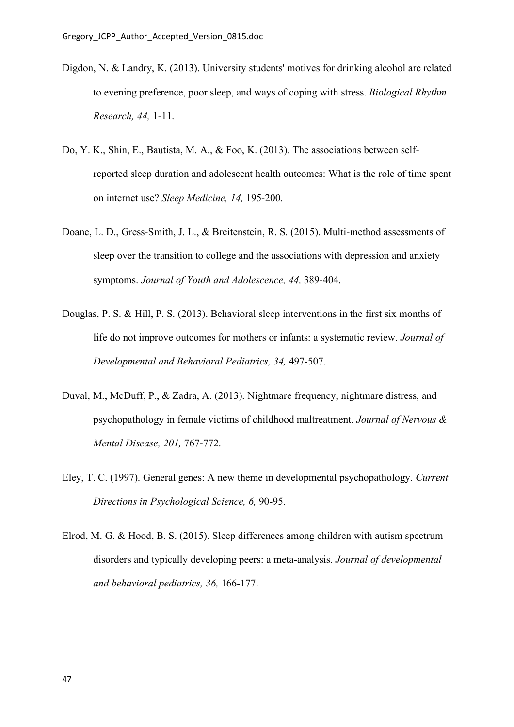- Digdon, N. & Landry, K. (2013). University students' motives for drinking alcohol are related to evening preference, poor sleep, and ways of coping with stress. *Biological Rhythm Research, 44,* 1-11.
- Do, Y. K., Shin, E., Bautista, M. A., & Foo, K. (2013). The associations between selfreported sleep duration and adolescent health outcomes: What is the role of time spent on internet use? *Sleep Medicine, 14,* 195-200.
- Doane, L. D., Gress-Smith, J. L., & Breitenstein, R. S. (2015). Multi-method assessments of sleep over the transition to college and the associations with depression and anxiety symptoms. *Journal of Youth and Adolescence, 44,* 389-404.
- Douglas, P. S. & Hill, P. S. (2013). Behavioral sleep interventions in the first six months of life do not improve outcomes for mothers or infants: a systematic review. *Journal of Developmental and Behavioral Pediatrics, 34,* 497-507.
- Duval, M., McDuff, P., & Zadra, A. (2013). Nightmare frequency, nightmare distress, and psychopathology in female victims of childhood maltreatment. *Journal of Nervous & Mental Disease, 201,* 767-772.
- Eley, T. C. (1997). General genes: A new theme in developmental psychopathology. *Current Directions in Psychological Science, 6,* 90-95.
- Elrod, M. G. & Hood, B. S. (2015). Sleep differences among children with autism spectrum disorders and typically developing peers: a meta-analysis. *Journal of developmental and behavioral pediatrics, 36,* 166-177.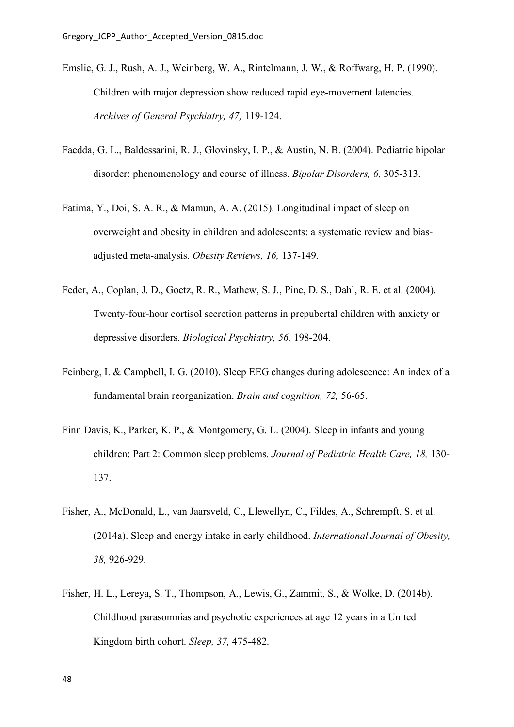- Emslie, G. J., Rush, A. J., Weinberg, W. A., Rintelmann, J. W., & Roffwarg, H. P. (1990). Children with major depression show reduced rapid eye-movement latencies. *Archives of General Psychiatry, 47,* 119-124.
- Faedda, G. L., Baldessarini, R. J., Glovinsky, I. P., & Austin, N. B. (2004). Pediatric bipolar disorder: phenomenology and course of illness. *Bipolar Disorders, 6,* 305-313.
- Fatima, Y., Doi, S. A. R., & Mamun, A. A. (2015). Longitudinal impact of sleep on overweight and obesity in children and adolescents: a systematic review and biasadjusted meta-analysis. *Obesity Reviews, 16,* 137-149.
- Feder, A., Coplan, J. D., Goetz, R. R., Mathew, S. J., Pine, D. S., Dahl, R. E. et al. (2004). Twenty-four-hour cortisol secretion patterns in prepubertal children with anxiety or depressive disorders. *Biological Psychiatry, 56,* 198-204.
- Feinberg, I. & Campbell, I. G. (2010). Sleep EEG changes during adolescence: An index of a fundamental brain reorganization. *Brain and cognition, 72,* 56-65.
- Finn Davis, K., Parker, K. P., & Montgomery, G. L. (2004). Sleep in infants and young children: Part 2: Common sleep problems. *Journal of Pediatric Health Care, 18,* 130- 137.
- Fisher, A., McDonald, L., van Jaarsveld, C., Llewellyn, C., Fildes, A., Schrempft, S. et al. (2014a). Sleep and energy intake in early childhood. *International Journal of Obesity, 38,* 926-929.
- Fisher, H. L., Lereya, S. T., Thompson, A., Lewis, G., Zammit, S., & Wolke, D. (2014b). Childhood parasomnias and psychotic experiences at age 12 years in a United Kingdom birth cohort. *Sleep, 37,* 475-482.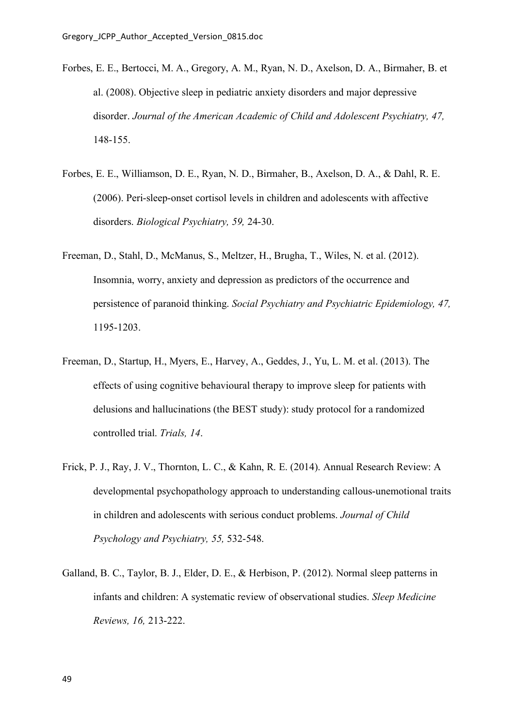- Forbes, E. E., Bertocci, M. A., Gregory, A. M., Ryan, N. D., Axelson, D. A., Birmaher, B. et al. (2008). Objective sleep in pediatric anxiety disorders and major depressive disorder. *Journal of the American Academic of Child and Adolescent Psychiatry, 47,* 148-155.
- Forbes, E. E., Williamson, D. E., Ryan, N. D., Birmaher, B., Axelson, D. A., & Dahl, R. E. (2006). Peri-sleep-onset cortisol levels in children and adolescents with affective disorders. *Biological Psychiatry, 59,* 24-30.
- Freeman, D., Stahl, D., McManus, S., Meltzer, H., Brugha, T., Wiles, N. et al. (2012). Insomnia, worry, anxiety and depression as predictors of the occurrence and persistence of paranoid thinking. *Social Psychiatry and Psychiatric Epidemiology, 47,* 1195-1203.
- Freeman, D., Startup, H., Myers, E., Harvey, A., Geddes, J., Yu, L. M. et al. (2013). The effects of using cognitive behavioural therapy to improve sleep for patients with delusions and hallucinations (the BEST study): study protocol for a randomized controlled trial. *Trials, 14*.
- Frick, P. J., Ray, J. V., Thornton, L. C., & Kahn, R. E. (2014). Annual Research Review: A developmental psychopathology approach to understanding callous-unemotional traits in children and adolescents with serious conduct problems. *Journal of Child Psychology and Psychiatry, 55,* 532-548.
- Galland, B. C., Taylor, B. J., Elder, D. E., & Herbison, P. (2012). Normal sleep patterns in infants and children: A systematic review of observational studies. *Sleep Medicine Reviews, 16,* 213-222.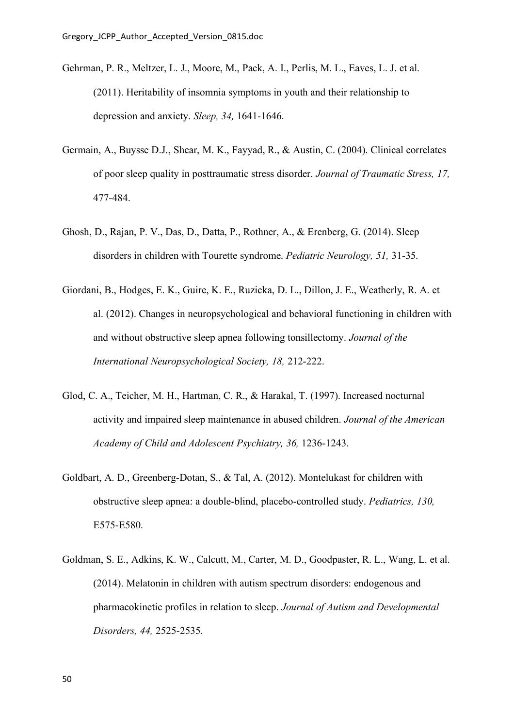- Gehrman, P. R., Meltzer, L. J., Moore, M., Pack, A. I., Perlis, M. L., Eaves, L. J. et al. (2011). Heritability of insomnia symptoms in youth and their relationship to depression and anxiety. *Sleep, 34,* 1641-1646.
- Germain, A., Buysse D.J., Shear, M. K., Fayyad, R., & Austin, C. (2004). Clinical correlates of poor sleep quality in posttraumatic stress disorder. *Journal of Traumatic Stress, 17,* 477-484.
- Ghosh, D., Rajan, P. V., Das, D., Datta, P., Rothner, A., & Erenberg, G. (2014). Sleep disorders in children with Tourette syndrome. *Pediatric Neurology, 51,* 31-35.
- Giordani, B., Hodges, E. K., Guire, K. E., Ruzicka, D. L., Dillon, J. E., Weatherly, R. A. et al. (2012). Changes in neuropsychological and behavioral functioning in children with and without obstructive sleep apnea following tonsillectomy. *Journal of the International Neuropsychological Society, 18,* 212-222.
- Glod, C. A., Teicher, M. H., Hartman, C. R., & Harakal, T. (1997). Increased nocturnal activity and impaired sleep maintenance in abused children. *Journal of the American Academy of Child and Adolescent Psychiatry, 36,* 1236-1243.
- Goldbart, A. D., Greenberg-Dotan, S., & Tal, A. (2012). Montelukast for children with obstructive sleep apnea: a double-blind, placebo-controlled study. *Pediatrics, 130,* E575-E580.
- Goldman, S. E., Adkins, K. W., Calcutt, M., Carter, M. D., Goodpaster, R. L., Wang, L. et al. (2014). Melatonin in children with autism spectrum disorders: endogenous and pharmacokinetic profiles in relation to sleep. *Journal of Autism and Developmental Disorders, 44,* 2525-2535.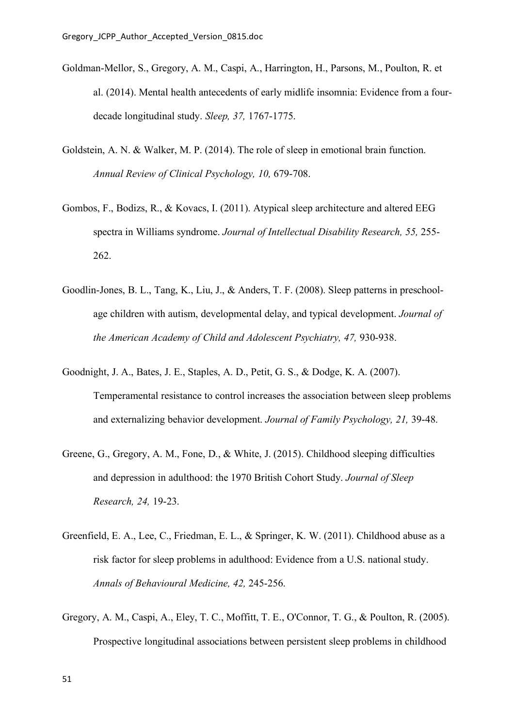- Goldman-Mellor, S., Gregory, A. M., Caspi, A., Harrington, H., Parsons, M., Poulton, R. et al. (2014). Mental health antecedents of early midlife insomnia: Evidence from a fourdecade longitudinal study. *Sleep, 37,* 1767-1775.
- Goldstein, A. N. & Walker, M. P. (2014). The role of sleep in emotional brain function. *Annual Review of Clinical Psychology, 10,* 679-708.
- Gombos, F., Bodizs, R., & Kovacs, I. (2011). Atypical sleep architecture and altered EEG spectra in Williams syndrome. *Journal of Intellectual Disability Research, 55,* 255- 262.
- Goodlin-Jones, B. L., Tang, K., Liu, J., & Anders, T. F. (2008). Sleep patterns in preschoolage children with autism, developmental delay, and typical development. *Journal of the American Academy of Child and Adolescent Psychiatry, 47,* 930-938.
- Goodnight, J. A., Bates, J. E., Staples, A. D., Petit, G. S., & Dodge, K. A. (2007). Temperamental resistance to control increases the association between sleep problems and externalizing behavior development. *Journal of Family Psychology, 21,* 39-48.
- Greene, G., Gregory, A. M., Fone, D., & White, J. (2015). Childhood sleeping difficulties and depression in adulthood: the 1970 British Cohort Study. *Journal of Sleep Research, 24,* 19-23.
- Greenfield, E. A., Lee, C., Friedman, E. L., & Springer, K. W. (2011). Childhood abuse as a risk factor for sleep problems in adulthood: Evidence from a U.S. national study. *Annals of Behavioural Medicine, 42,* 245-256.
- Gregory, A. M., Caspi, A., Eley, T. C., Moffitt, T. E., O'Connor, T. G., & Poulton, R. (2005). Prospective longitudinal associations between persistent sleep problems in childhood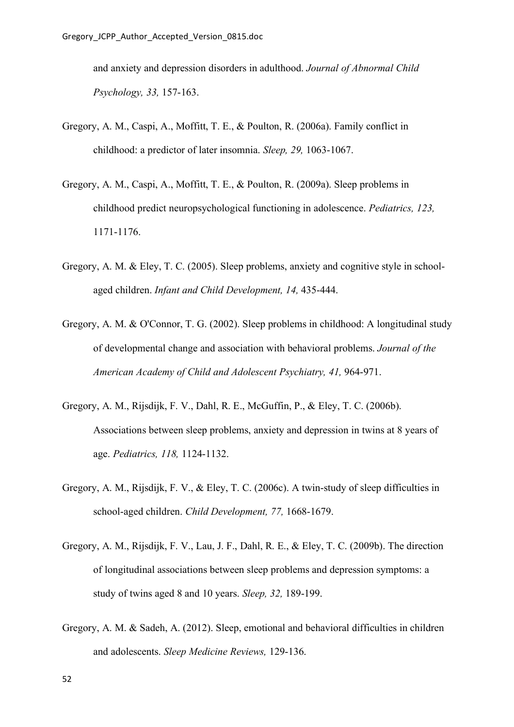and anxiety and depression disorders in adulthood. *Journal of Abnormal Child Psychology, 33,* 157-163.

- Gregory, A. M., Caspi, A., Moffitt, T. E., & Poulton, R. (2006a). Family conflict in childhood: a predictor of later insomnia. *Sleep, 29,* 1063-1067.
- Gregory, A. M., Caspi, A., Moffitt, T. E., & Poulton, R. (2009a). Sleep problems in childhood predict neuropsychological functioning in adolescence. *Pediatrics, 123,* 1171-1176.
- Gregory, A. M. & Eley, T. C. (2005). Sleep problems, anxiety and cognitive style in schoolaged children. *Infant and Child Development, 14,* 435-444.
- Gregory, A. M. & O'Connor, T. G. (2002). Sleep problems in childhood: A longitudinal study of developmental change and association with behavioral problems. *Journal of the American Academy of Child and Adolescent Psychiatry, 41,* 964-971.
- Gregory, A. M., Rijsdijk, F. V., Dahl, R. E., McGuffin, P., & Eley, T. C. (2006b). Associations between sleep problems, anxiety and depression in twins at 8 years of age. *Pediatrics, 118,* 1124-1132.
- Gregory, A. M., Rijsdijk, F. V., & Eley, T. C. (2006c). A twin-study of sleep difficulties in school-aged children. *Child Development, 77,* 1668-1679.
- Gregory, A. M., Rijsdijk, F. V., Lau, J. F., Dahl, R. E., & Eley, T. C. (2009b). The direction of longitudinal associations between sleep problems and depression symptoms: a study of twins aged 8 and 10 years. *Sleep, 32,* 189-199.
- Gregory, A. M. & Sadeh, A. (2012). Sleep, emotional and behavioral difficulties in children and adolescents. *Sleep Medicine Reviews,* 129-136.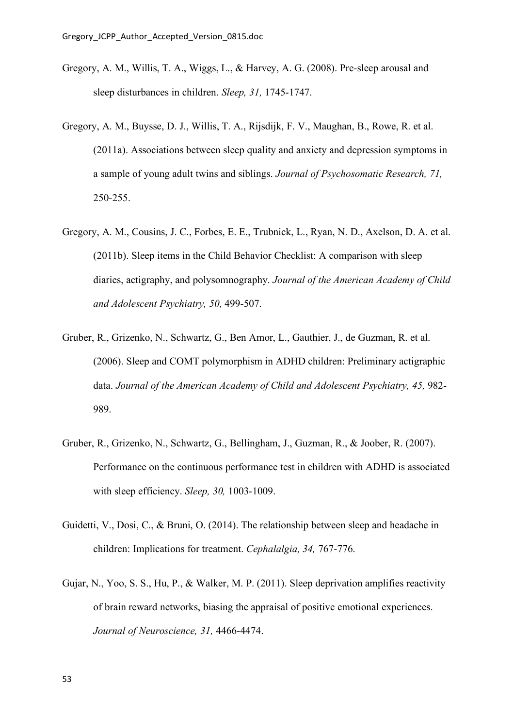- Gregory, A. M., Willis, T. A., Wiggs, L., & Harvey, A. G. (2008). Pre-sleep arousal and sleep disturbances in children. *Sleep, 31,* 1745-1747.
- Gregory, A. M., Buysse, D. J., Willis, T. A., Rijsdijk, F. V., Maughan, B., Rowe, R. et al. (2011a). Associations between sleep quality and anxiety and depression symptoms in a sample of young adult twins and siblings. *Journal of Psychosomatic Research, 71,* 250-255.
- Gregory, A. M., Cousins, J. C., Forbes, E. E., Trubnick, L., Ryan, N. D., Axelson, D. A. et al. (2011b). Sleep items in the Child Behavior Checklist: A comparison with sleep diaries, actigraphy, and polysomnography. *Journal of the American Academy of Child and Adolescent Psychiatry, 50,* 499-507.
- Gruber, R., Grizenko, N., Schwartz, G., Ben Amor, L., Gauthier, J., de Guzman, R. et al. (2006). Sleep and COMT polymorphism in ADHD children: Preliminary actigraphic data. *Journal of the American Academy of Child and Adolescent Psychiatry, 45,* 982- 989.
- Gruber, R., Grizenko, N., Schwartz, G., Bellingham, J., Guzman, R., & Joober, R. (2007). Performance on the continuous performance test in children with ADHD is associated with sleep efficiency. *Sleep, 30,* 1003-1009.
- Guidetti, V., Dosi, C., & Bruni, O. (2014). The relationship between sleep and headache in children: Implications for treatment. *Cephalalgia, 34,* 767-776.
- Gujar, N., Yoo, S. S., Hu, P., & Walker, M. P. (2011). Sleep deprivation amplifies reactivity of brain reward networks, biasing the appraisal of positive emotional experiences. *Journal of Neuroscience, 31,* 4466-4474.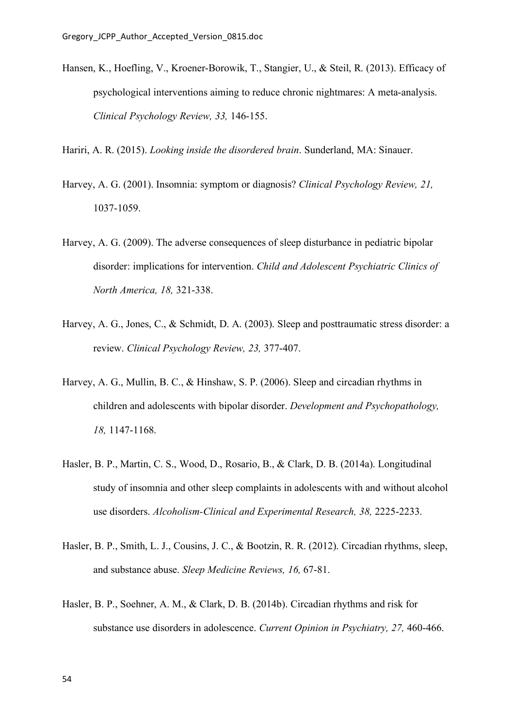Hansen, K., Hoefling, V., Kroener-Borowik, T., Stangier, U., & Steil, R. (2013). Efficacy of psychological interventions aiming to reduce chronic nightmares: A meta-analysis. *Clinical Psychology Review, 33,* 146-155.

Hariri, A. R. (2015). *Looking inside the disordered brain*. Sunderland, MA: Sinauer.

- Harvey, A. G. (2001). Insomnia: symptom or diagnosis? *Clinical Psychology Review, 21,* 1037-1059.
- Harvey, A. G. (2009). The adverse consequences of sleep disturbance in pediatric bipolar disorder: implications for intervention. *Child and Adolescent Psychiatric Clinics of North America, 18,* 321-338.
- Harvey, A. G., Jones, C., & Schmidt, D. A. (2003). Sleep and posttraumatic stress disorder: a review. *Clinical Psychology Review, 23,* 377-407.
- Harvey, A. G., Mullin, B. C., & Hinshaw, S. P. (2006). Sleep and circadian rhythms in children and adolescents with bipolar disorder. *Development and Psychopathology, 18,* 1147-1168.
- Hasler, B. P., Martin, C. S., Wood, D., Rosario, B., & Clark, D. B. (2014a). Longitudinal study of insomnia and other sleep complaints in adolescents with and without alcohol use disorders. *Alcoholism-Clinical and Experimental Research, 38,* 2225-2233.
- Hasler, B. P., Smith, L. J., Cousins, J. C., & Bootzin, R. R. (2012). Circadian rhythms, sleep, and substance abuse. *Sleep Medicine Reviews, 16,* 67-81.
- Hasler, B. P., Soehner, A. M., & Clark, D. B. (2014b). Circadian rhythms and risk for substance use disorders in adolescence. *Current Opinion in Psychiatry, 27,* 460-466.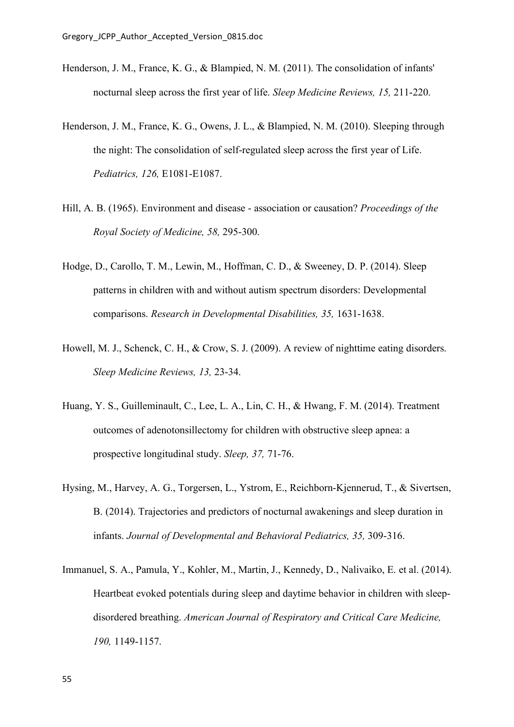- Henderson, J. M., France, K. G., & Blampied, N. M. (2011). The consolidation of infants' nocturnal sleep across the first year of life. *Sleep Medicine Reviews, 15,* 211-220.
- Henderson, J. M., France, K. G., Owens, J. L., & Blampied, N. M. (2010). Sleeping through the night: The consolidation of self-regulated sleep across the first year of Life. *Pediatrics, 126,* E1081-E1087.
- Hill, A. B. (1965). Environment and disease association or causation? *Proceedings of the Royal Society of Medicine, 58,* 295-300.
- Hodge, D., Carollo, T. M., Lewin, M., Hoffman, C. D., & Sweeney, D. P. (2014). Sleep patterns in children with and without autism spectrum disorders: Developmental comparisons. *Research in Developmental Disabilities, 35,* 1631-1638.
- Howell, M. J., Schenck, C. H., & Crow, S. J. (2009). A review of nighttime eating disorders. *Sleep Medicine Reviews, 13,* 23-34.
- Huang, Y. S., Guilleminault, C., Lee, L. A., Lin, C. H., & Hwang, F. M. (2014). Treatment outcomes of adenotonsillectomy for children with obstructive sleep apnea: a prospective longitudinal study. *Sleep, 37,* 71-76.
- Hysing, M., Harvey, A. G., Torgersen, L., Ystrom, E., Reichborn-Kjennerud, T., & Sivertsen, B. (2014). Trajectories and predictors of nocturnal awakenings and sleep duration in infants. *Journal of Developmental and Behavioral Pediatrics, 35,* 309-316.
- Immanuel, S. A., Pamula, Y., Kohler, M., Martin, J., Kennedy, D., Nalivaiko, E. et al. (2014). Heartbeat evoked potentials during sleep and daytime behavior in children with sleepdisordered breathing. *American Journal of Respiratory and Critical Care Medicine, 190,* 1149-1157.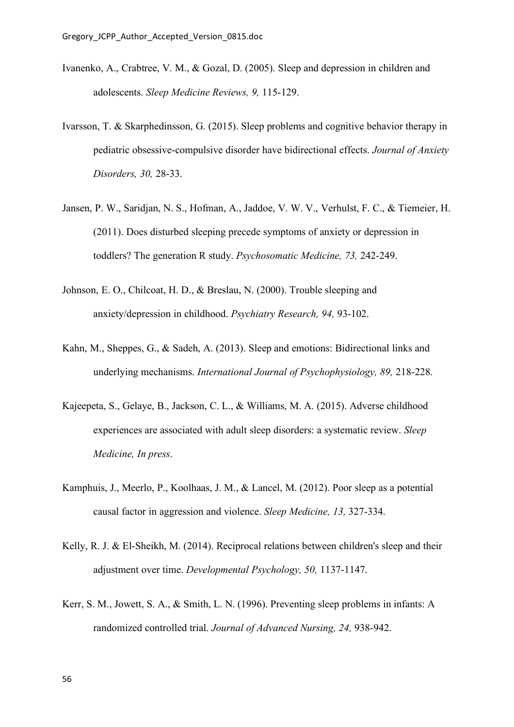- Ivanenko, A., Crabtree, V. M., & Gozal, D. (2005). Sleep and depression in children and adolescents. *Sleep Medicine Reviews, 9,* 115-129.
- Ivarsson, T. & Skarphedinsson, G. (2015). Sleep problems and cognitive behavior therapy in pediatric obsessive-compulsive disorder have bidirectional effects. *Journal of Anxiety Disorders, 30,* 28-33.
- Jansen, P. W., Saridjan, N. S., Hofman, A., Jaddoe, V. W. V., Verhulst, F. C., & Tiemeier, H. (2011). Does disturbed sleeping precede symptoms of anxiety or depression in toddlers? The generation R study. *Psychosomatic Medicine, 73,* 242-249.
- Johnson, E. O., Chilcoat, H. D., & Breslau, N. (2000). Trouble sleeping and anxiety/depression in childhood. *Psychiatry Research, 94,* 93-102.
- Kahn, M., Sheppes, G., & Sadeh, A. (2013). Sleep and emotions: Bidirectional links and underlying mechanisms. *International Journal of Psychophysiology, 89,* 218-228.
- Kajeepeta, S., Gelaye, B., Jackson, C. L., & Williams, M. A. (2015). Adverse childhood experiences are associated with adult sleep disorders: a systematic review. *Sleep Medicine, In press*.
- Kamphuis, J., Meerlo, P., Koolhaas, J. M., & Lancel, M. (2012). Poor sleep as a potential causal factor in aggression and violence. *Sleep Medicine, 13,* 327-334.
- Kelly, R. J. & El-Sheikh, M. (2014). Reciprocal relations between children's sleep and their adjustment over time. *Developmental Psychology, 50,* 1137-1147.
- Kerr, S. M., Jowett, S. A., & Smith, L. N. (1996). Preventing sleep problems in infants: A randomized controlled trial. *Journal of Advanced Nursing, 24,* 938-942.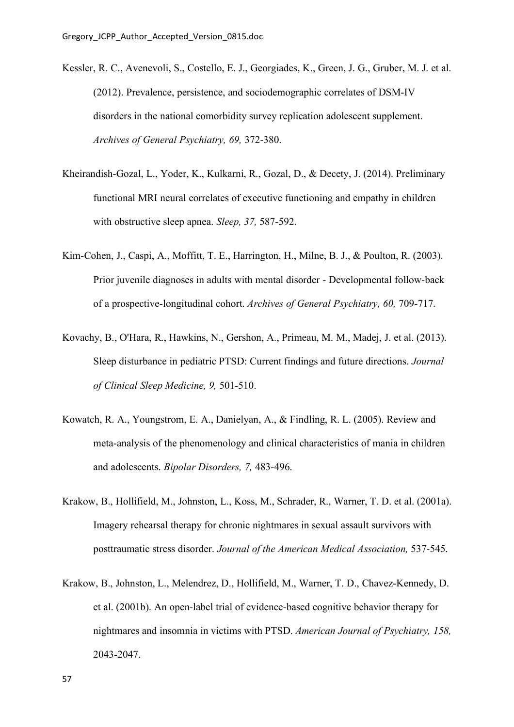- Kessler, R. C., Avenevoli, S., Costello, E. J., Georgiades, K., Green, J. G., Gruber, M. J. et al. (2012). Prevalence, persistence, and sociodemographic correlates of DSM-IV disorders in the national comorbidity survey replication adolescent supplement. *Archives of General Psychiatry, 69,* 372-380.
- Kheirandish-Gozal, L., Yoder, K., Kulkarni, R., Gozal, D., & Decety, J. (2014). Preliminary functional MRI neural correlates of executive functioning and empathy in children with obstructive sleep apnea. *Sleep, 37,* 587-592.
- Kim-Cohen, J., Caspi, A., Moffitt, T. E., Harrington, H., Milne, B. J., & Poulton, R. (2003). Prior juvenile diagnoses in adults with mental disorder - Developmental follow-back of a prospective-longitudinal cohort. *Archives of General Psychiatry, 60,* 709-717.
- Kovachy, B., O'Hara, R., Hawkins, N., Gershon, A., Primeau, M. M., Madej, J. et al. (2013). Sleep disturbance in pediatric PTSD: Current findings and future directions. *Journal of Clinical Sleep Medicine, 9,* 501-510.
- Kowatch, R. A., Youngstrom, E. A., Danielyan, A., & Findling, R. L. (2005). Review and meta-analysis of the phenomenology and clinical characteristics of mania in children and adolescents. *Bipolar Disorders, 7,* 483-496.
- Krakow, B., Hollifield, M., Johnston, L., Koss, M., Schrader, R., Warner, T. D. et al. (2001a). Imagery rehearsal therapy for chronic nightmares in sexual assault survivors with posttraumatic stress disorder. *Journal of the American Medical Association,* 537-545.
- Krakow, B., Johnston, L., Melendrez, D., Hollifield, M., Warner, T. D., Chavez-Kennedy, D. et al. (2001b). An open-label trial of evidence-based cognitive behavior therapy for nightmares and insomnia in victims with PTSD. *American Journal of Psychiatry, 158,* 2043-2047.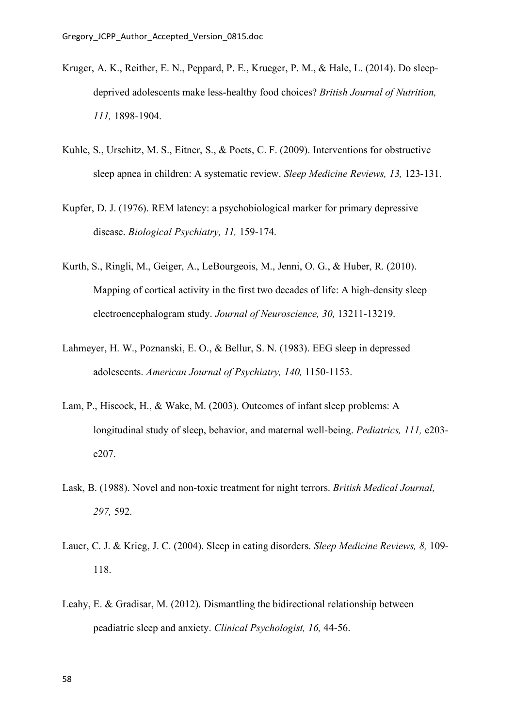- Kruger, A. K., Reither, E. N., Peppard, P. E., Krueger, P. M., & Hale, L. (2014). Do sleepdeprived adolescents make less-healthy food choices? *British Journal of Nutrition, 111,* 1898-1904.
- Kuhle, S., Urschitz, M. S., Eitner, S., & Poets, C. F. (2009). Interventions for obstructive sleep apnea in children: A systematic review. *Sleep Medicine Reviews, 13,* 123-131.
- Kupfer, D. J. (1976). REM latency: a psychobiological marker for primary depressive disease. *Biological Psychiatry, 11,* 159-174.
- Kurth, S., Ringli, M., Geiger, A., LeBourgeois, M., Jenni, O. G., & Huber, R. (2010). Mapping of cortical activity in the first two decades of life: A high-density sleep electroencephalogram study. *Journal of Neuroscience, 30,* 13211-13219.
- Lahmeyer, H. W., Poznanski, E. O., & Bellur, S. N. (1983). EEG sleep in depressed adolescents. *American Journal of Psychiatry, 140,* 1150-1153.
- Lam, P., Hiscock, H., & Wake, M. (2003). Outcomes of infant sleep problems: A longitudinal study of sleep, behavior, and maternal well-being. *Pediatrics, 111,* e203 e207.
- Lask, B. (1988). Novel and non-toxic treatment for night terrors. *British Medical Journal, 297,* 592.
- Lauer, C. J. & Krieg, J. C. (2004). Sleep in eating disorders. *Sleep Medicine Reviews, 8,* 109- 118.
- Leahy, E. & Gradisar, M. (2012). Dismantling the bidirectional relationship between peadiatric sleep and anxiety. *Clinical Psychologist, 16,* 44-56.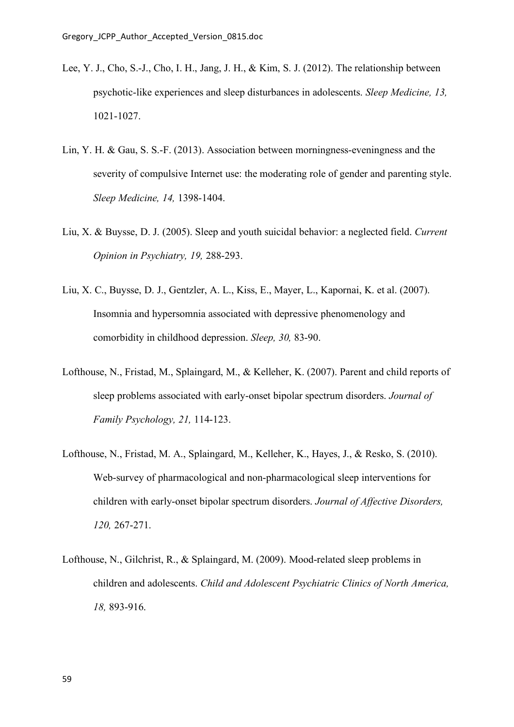- Lee, Y. J., Cho, S.-J., Cho, I. H., Jang, J. H., & Kim, S. J. (2012). The relationship between psychotic-like experiences and sleep disturbances in adolescents. *Sleep Medicine, 13,* 1021-1027.
- Lin, Y. H. & Gau, S. S.-F. (2013). Association between morningness-eveningness and the severity of compulsive Internet use: the moderating role of gender and parenting style. *Sleep Medicine, 14,* 1398-1404.
- Liu, X. & Buysse, D. J. (2005). Sleep and youth suicidal behavior: a neglected field. *Current Opinion in Psychiatry, 19,* 288-293.
- Liu, X. C., Buysse, D. J., Gentzler, A. L., Kiss, E., Mayer, L., Kapornai, K. et al. (2007). Insomnia and hypersomnia associated with depressive phenomenology and comorbidity in childhood depression. *Sleep, 30,* 83-90.
- Lofthouse, N., Fristad, M., Splaingard, M., & Kelleher, K. (2007). Parent and child reports of sleep problems associated with early-onset bipolar spectrum disorders. *Journal of Family Psychology, 21,* 114-123.
- Lofthouse, N., Fristad, M. A., Splaingard, M., Kelleher, K., Hayes, J., & Resko, S. (2010). Web-survey of pharmacological and non-pharmacological sleep interventions for children with early-onset bipolar spectrum disorders. *Journal of Affective Disorders, 120,* 267-271.
- Lofthouse, N., Gilchrist, R., & Splaingard, M. (2009). Mood-related sleep problems in children and adolescents. *Child and Adolescent Psychiatric Clinics of North America, 18,* 893-916.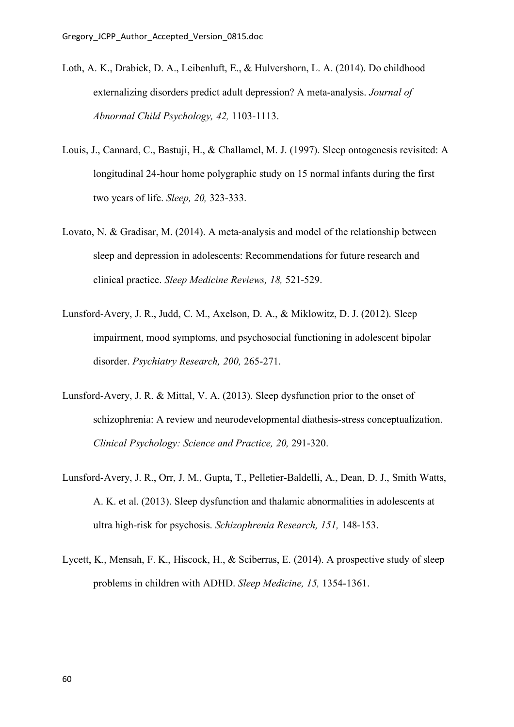- Loth, A. K., Drabick, D. A., Leibenluft, E., & Hulvershorn, L. A. (2014). Do childhood externalizing disorders predict adult depression? A meta-analysis. *Journal of Abnormal Child Psychology, 42,* 1103-1113.
- Louis, J., Cannard, C., Bastuji, H., & Challamel, M. J. (1997). Sleep ontogenesis revisited: A longitudinal 24-hour home polygraphic study on 15 normal infants during the first two years of life. *Sleep, 20,* 323-333.
- Lovato, N. & Gradisar, M. (2014). A meta-analysis and model of the relationship between sleep and depression in adolescents: Recommendations for future research and clinical practice. *Sleep Medicine Reviews, 18,* 521-529.
- Lunsford-Avery, J. R., Judd, C. M., Axelson, D. A., & Miklowitz, D. J. (2012). Sleep impairment, mood symptoms, and psychosocial functioning in adolescent bipolar disorder. *Psychiatry Research, 200,* 265-271.
- Lunsford-Avery, J. R. & Mittal, V. A. (2013). Sleep dysfunction prior to the onset of schizophrenia: A review and neurodevelopmental diathesis-stress conceptualization. *Clinical Psychology: Science and Practice, 20,* 291-320.
- Lunsford-Avery, J. R., Orr, J. M., Gupta, T., Pelletier-Baldelli, A., Dean, D. J., Smith Watts, A. K. et al. (2013). Sleep dysfunction and thalamic abnormalities in adolescents at ultra high-risk for psychosis. *Schizophrenia Research, 151,* 148-153.
- Lycett, K., Mensah, F. K., Hiscock, H., & Sciberras, E. (2014). A prospective study of sleep problems in children with ADHD. *Sleep Medicine, 15,* 1354-1361.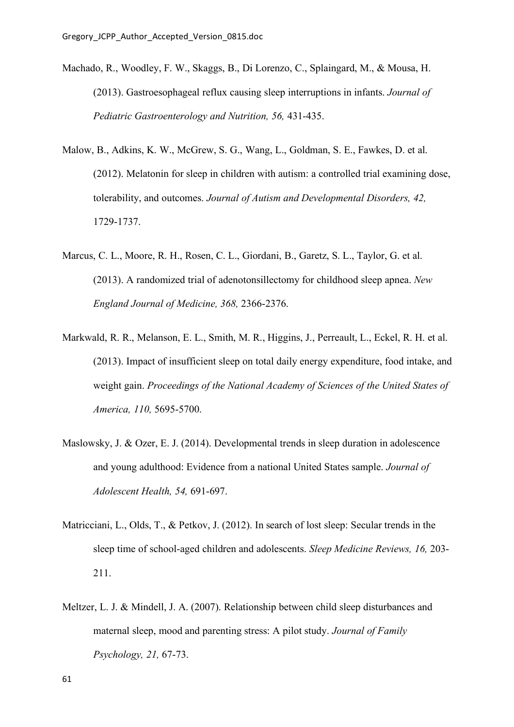- Machado, R., Woodley, F. W., Skaggs, B., Di Lorenzo, C., Splaingard, M., & Mousa, H. (2013). Gastroesophageal reflux causing sleep interruptions in infants. *Journal of Pediatric Gastroenterology and Nutrition, 56,* 431-435.
- Malow, B., Adkins, K. W., McGrew, S. G., Wang, L., Goldman, S. E., Fawkes, D. et al. (2012). Melatonin for sleep in children with autism: a controlled trial examining dose, tolerability, and outcomes. *Journal of Autism and Developmental Disorders, 42,* 1729-1737.
- Marcus, C. L., Moore, R. H., Rosen, C. L., Giordani, B., Garetz, S. L., Taylor, G. et al. (2013). A randomized trial of adenotonsillectomy for childhood sleep apnea. *New England Journal of Medicine, 368,* 2366-2376.
- Markwald, R. R., Melanson, E. L., Smith, M. R., Higgins, J., Perreault, L., Eckel, R. H. et al. (2013). Impact of insufficient sleep on total daily energy expenditure, food intake, and weight gain. *Proceedings of the National Academy of Sciences of the United States of America, 110,* 5695-5700.
- Maslowsky, J. & Ozer, E. J. (2014). Developmental trends in sleep duration in adolescence and young adulthood: Evidence from a national United States sample. *Journal of Adolescent Health, 54,* 691-697.
- Matricciani, L., Olds, T., & Petkov, J. (2012). In search of lost sleep: Secular trends in the sleep time of school-aged children and adolescents. *Sleep Medicine Reviews, 16,* 203- 211.
- Meltzer, L. J. & Mindell, J. A. (2007). Relationship between child sleep disturbances and maternal sleep, mood and parenting stress: A pilot study. *Journal of Family Psychology, 21,* 67-73.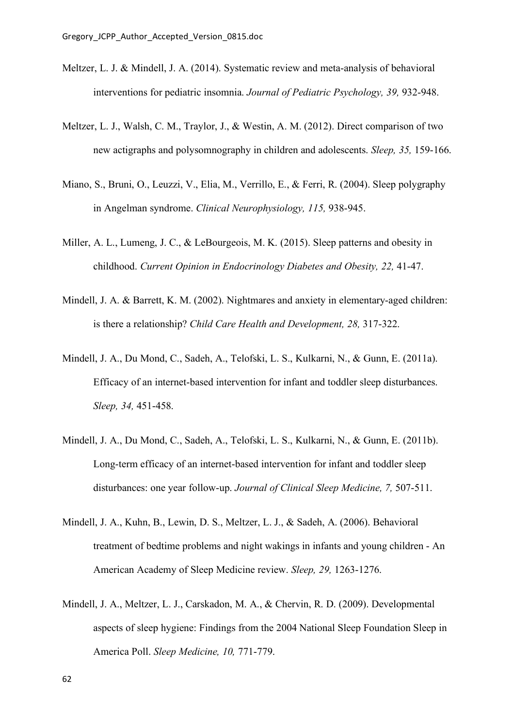- Meltzer, L. J. & Mindell, J. A. (2014). Systematic review and meta-analysis of behavioral interventions for pediatric insomnia. *Journal of Pediatric Psychology, 39,* 932-948.
- Meltzer, L. J., Walsh, C. M., Traylor, J., & Westin, A. M. (2012). Direct comparison of two new actigraphs and polysomnography in children and adolescents. *Sleep, 35,* 159-166.
- Miano, S., Bruni, O., Leuzzi, V., Elia, M., Verrillo, E., & Ferri, R. (2004). Sleep polygraphy in Angelman syndrome. *Clinical Neurophysiology, 115,* 938-945.
- Miller, A. L., Lumeng, J. C., & LeBourgeois, M. K. (2015). Sleep patterns and obesity in childhood. *Current Opinion in Endocrinology Diabetes and Obesity, 22,* 41-47.
- Mindell, J. A. & Barrett, K. M. (2002). Nightmares and anxiety in elementary-aged children: is there a relationship? *Child Care Health and Development, 28,* 317-322.
- Mindell, J. A., Du Mond, C., Sadeh, A., Telofski, L. S., Kulkarni, N., & Gunn, E. (2011a). Efficacy of an internet-based intervention for infant and toddler sleep disturbances. *Sleep, 34,* 451-458.
- Mindell, J. A., Du Mond, C., Sadeh, A., Telofski, L. S., Kulkarni, N., & Gunn, E. (2011b). Long-term efficacy of an internet-based intervention for infant and toddler sleep disturbances: one year follow-up. *Journal of Clinical Sleep Medicine, 7,* 507-511.
- Mindell, J. A., Kuhn, B., Lewin, D. S., Meltzer, L. J., & Sadeh, A. (2006). Behavioral treatment of bedtime problems and night wakings in infants and young children - An American Academy of Sleep Medicine review. *Sleep, 29,* 1263-1276.
- Mindell, J. A., Meltzer, L. J., Carskadon, M. A., & Chervin, R. D. (2009). Developmental aspects of sleep hygiene: Findings from the 2004 National Sleep Foundation Sleep in America Poll. *Sleep Medicine, 10,* 771-779.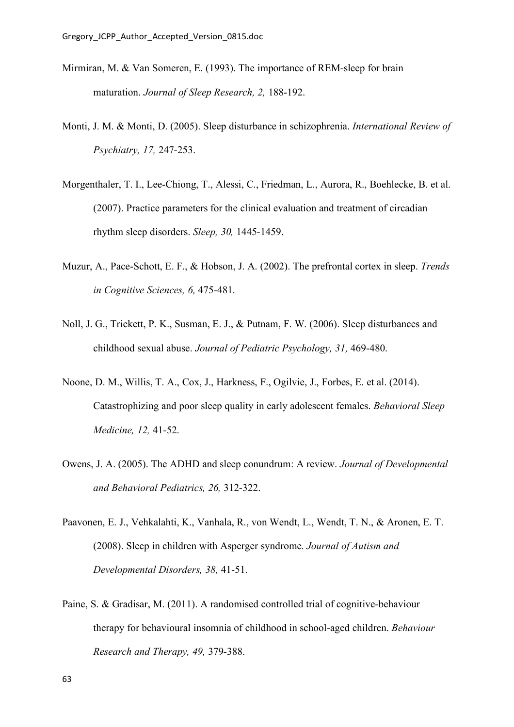- Mirmiran, M. & Van Someren, E. (1993). The importance of REM-sleep for brain maturation. *Journal of Sleep Research, 2,* 188-192.
- Monti, J. M. & Monti, D. (2005). Sleep disturbance in schizophrenia. *International Review of Psychiatry, 17,* 247-253.
- Morgenthaler, T. I., Lee-Chiong, T., Alessi, C., Friedman, L., Aurora, R., Boehlecke, B. et al. (2007). Practice parameters for the clinical evaluation and treatment of circadian rhythm sleep disorders. *Sleep, 30,* 1445-1459.
- Muzur, A., Pace-Schott, E. F., & Hobson, J. A. (2002). The prefrontal cortex in sleep. *Trends in Cognitive Sciences, 6,* 475-481.
- Noll, J. G., Trickett, P. K., Susman, E. J., & Putnam, F. W. (2006). Sleep disturbances and childhood sexual abuse. *Journal of Pediatric Psychology, 31,* 469-480.
- Noone, D. M., Willis, T. A., Cox, J., Harkness, F., Ogilvie, J., Forbes, E. et al. (2014). Catastrophizing and poor sleep quality in early adolescent females. *Behavioral Sleep Medicine, 12,* 41-52.
- Owens, J. A. (2005). The ADHD and sleep conundrum: A review. *Journal of Developmental and Behavioral Pediatrics, 26,* 312-322.
- Paavonen, E. J., Vehkalahti, K., Vanhala, R., von Wendt, L., Wendt, T. N., & Aronen, E. T. (2008). Sleep in children with Asperger syndrome. *Journal of Autism and Developmental Disorders, 38,* 41-51.
- Paine, S. & Gradisar, M. (2011). A randomised controlled trial of cognitive-behaviour therapy for behavioural insomnia of childhood in school-aged children. *Behaviour Research and Therapy, 49,* 379-388.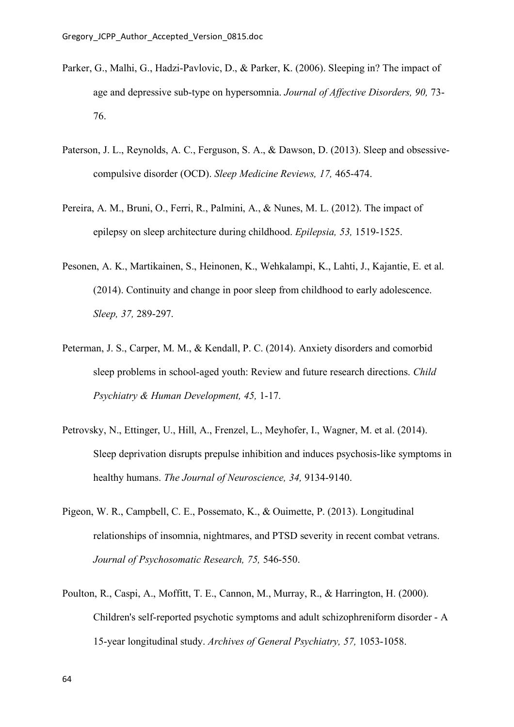- Parker, G., Malhi, G., Hadzi-Pavlovic, D., & Parker, K. (2006). Sleeping in? The impact of age and depressive sub-type on hypersomnia. *Journal of Affective Disorders, 90,* 73- 76.
- Paterson, J. L., Reynolds, A. C., Ferguson, S. A., & Dawson, D. (2013). Sleep and obsessivecompulsive disorder (OCD). *Sleep Medicine Reviews, 17,* 465-474.
- Pereira, A. M., Bruni, O., Ferri, R., Palmini, A., & Nunes, M. L. (2012). The impact of epilepsy on sleep architecture during childhood. *Epilepsia, 53,* 1519-1525.
- Pesonen, A. K., Martikainen, S., Heinonen, K., Wehkalampi, K., Lahti, J., Kajantie, E. et al. (2014). Continuity and change in poor sleep from childhood to early adolescence. *Sleep, 37,* 289-297.
- Peterman, J. S., Carper, M. M., & Kendall, P. C. (2014). Anxiety disorders and comorbid sleep problems in school-aged youth: Review and future research directions. *Child Psychiatry & Human Development, 45,* 1-17.
- Petrovsky, N., Ettinger, U., Hill, A., Frenzel, L., Meyhofer, I., Wagner, M. et al. (2014). Sleep deprivation disrupts prepulse inhibition and induces psychosis-like symptoms in healthy humans. *The Journal of Neuroscience, 34,* 9134-9140.
- Pigeon, W. R., Campbell, C. E., Possemato, K., & Ouimette, P. (2013). Longitudinal relationships of insomnia, nightmares, and PTSD severity in recent combat vetrans. *Journal of Psychosomatic Research, 75,* 546-550.
- Poulton, R., Caspi, A., Moffitt, T. E., Cannon, M., Murray, R., & Harrington, H. (2000). Children's self-reported psychotic symptoms and adult schizophreniform disorder - A 15-year longitudinal study. *Archives of General Psychiatry, 57,* 1053-1058.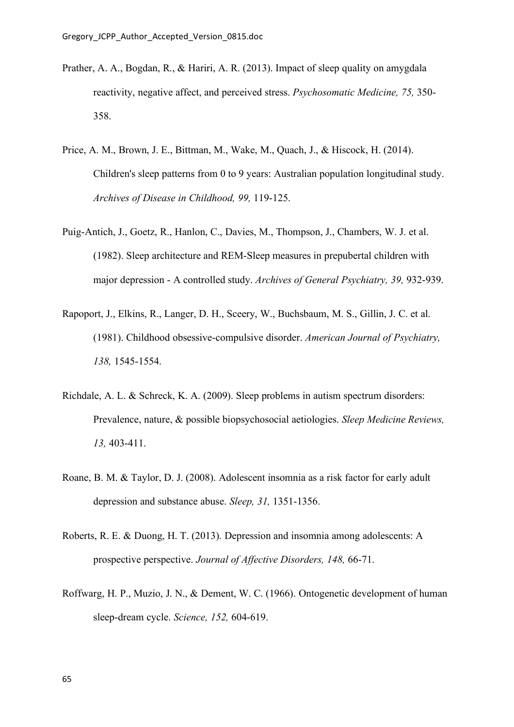- Prather, A. A., Bogdan, R., & Hariri, A. R. (2013). Impact of sleep quality on amygdala reactivity, negative affect, and perceived stress. *Psychosomatic Medicine, 75,* 350- 358.
- Price, A. M., Brown, J. E., Bittman, M., Wake, M., Quach, J., & Hiscock, H. (2014). Children's sleep patterns from 0 to 9 years: Australian population longitudinal study. *Archives of Disease in Childhood, 99,* 119-125.
- Puig-Antich, J., Goetz, R., Hanlon, C., Davies, M., Thompson, J., Chambers, W. J. et al. (1982). Sleep architecture and REM-Sleep measures in prepubertal children with major depression - A controlled study. *Archives of General Psychiatry, 39,* 932-939.
- Rapoport, J., Elkins, R., Langer, D. H., Sceery, W., Buchsbaum, M. S., Gillin, J. C. et al. (1981). Childhood obsessive-compulsive disorder. *American Journal of Psychiatry, 138,* 1545-1554.
- Richdale, A. L. & Schreck, K. A. (2009). Sleep problems in autism spectrum disorders: Prevalence, nature, & possible biopsychosocial aetiologies. *Sleep Medicine Reviews, 13,* 403-411.
- Roane, B. M. & Taylor, D. J. (2008). Adolescent insomnia as a risk factor for early adult depression and substance abuse. *Sleep, 31,* 1351-1356.
- Roberts, R. E. & Duong, H. T. (2013). Depression and insomnia among adolescents: A prospective perspective. *Journal of Affective Disorders, 148,* 66-71.
- Roffwarg, H. P., Muzio, J. N., & Dement, W. C. (1966). Ontogenetic development of human sleep-dream cycle. *Science, 152,* 604-619.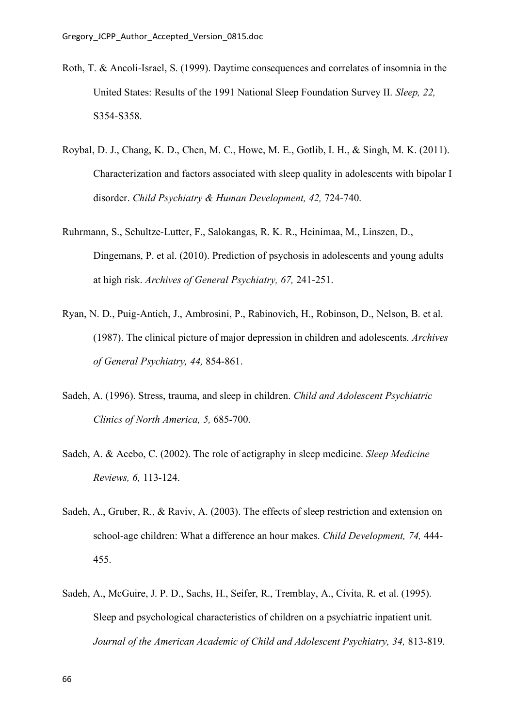- Roth, T. & Ancoli-Israel, S. (1999). Daytime consequences and correlates of insomnia in the United States: Results of the 1991 National Sleep Foundation Survey II. *Sleep, 22,* S354-S358.
- Roybal, D. J., Chang, K. D., Chen, M. C., Howe, M. E., Gotlib, I. H., & Singh, M. K. (2011). Characterization and factors associated with sleep quality in adolescents with bipolar I disorder. *Child Psychiatry & Human Development, 42,* 724-740.
- Ruhrmann, S., Schultze-Lutter, F., Salokangas, R. K. R., Heinimaa, M., Linszen, D., Dingemans, P. et al. (2010). Prediction of psychosis in adolescents and young adults at high risk. *Archives of General Psychiatry, 67,* 241-251.
- Ryan, N. D., Puig-Antich, J., Ambrosini, P., Rabinovich, H., Robinson, D., Nelson, B. et al. (1987). The clinical picture of major depression in children and adolescents. *Archives of General Psychiatry, 44,* 854-861.
- Sadeh, A. (1996). Stress, trauma, and sleep in children. *Child and Adolescent Psychiatric Clinics of North America, 5,* 685-700.
- Sadeh, A. & Acebo, C. (2002). The role of actigraphy in sleep medicine. *Sleep Medicine Reviews, 6,* 113-124.
- Sadeh, A., Gruber, R., & Raviv, A. (2003). The effects of sleep restriction and extension on school-age children: What a difference an hour makes. *Child Development, 74,* 444- 455.
- Sadeh, A., McGuire, J. P. D., Sachs, H., Seifer, R., Tremblay, A., Civita, R. et al. (1995). Sleep and psychological characteristics of children on a psychiatric inpatient unit. *Journal of the American Academic of Child and Adolescent Psychiatry, 34,* 813-819.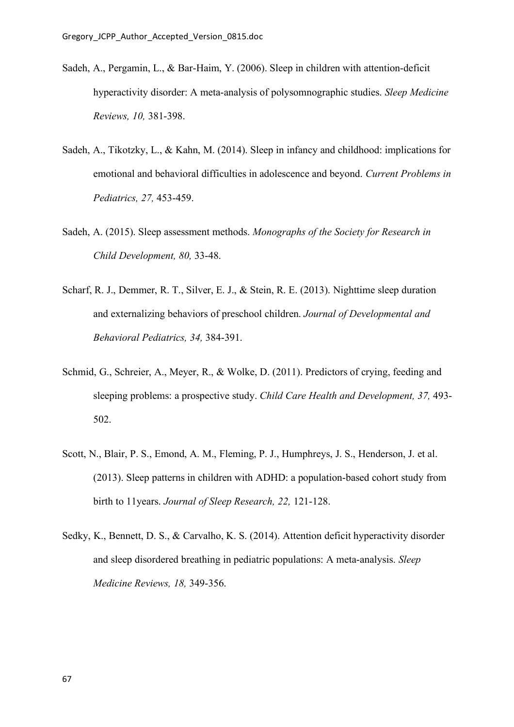- Sadeh, A., Pergamin, L., & Bar-Haim, Y. (2006). Sleep in children with attention-deficit hyperactivity disorder: A meta-analysis of polysomnographic studies. *Sleep Medicine Reviews, 10,* 381-398.
- Sadeh, A., Tikotzky, L., & Kahn, M. (2014). Sleep in infancy and childhood: implications for emotional and behavioral difficulties in adolescence and beyond. *Current Problems in Pediatrics, 27,* 453-459.
- Sadeh, A. (2015). Sleep assessment methods. *Monographs of the Society for Research in Child Development, 80,* 33-48.
- Scharf, R. J., Demmer, R. T., Silver, E. J., & Stein, R. E. (2013). Nighttime sleep duration and externalizing behaviors of preschool children. *Journal of Developmental and Behavioral Pediatrics, 34,* 384-391.
- Schmid, G., Schreier, A., Meyer, R., & Wolke, D. (2011). Predictors of crying, feeding and sleeping problems: a prospective study. *Child Care Health and Development, 37,* 493- 502.
- Scott, N., Blair, P. S., Emond, A. M., Fleming, P. J., Humphreys, J. S., Henderson, J. et al. (2013). Sleep patterns in children with ADHD: a population-based cohort study from birth to 11years. *Journal of Sleep Research, 22,* 121-128.
- Sedky, K., Bennett, D. S., & Carvalho, K. S. (2014). Attention deficit hyperactivity disorder and sleep disordered breathing in pediatric populations: A meta-analysis. *Sleep Medicine Reviews, 18,* 349-356.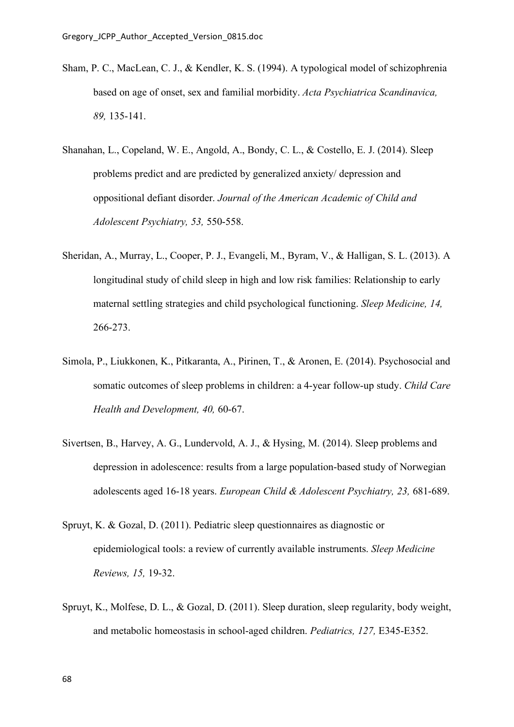- Sham, P. C., MacLean, C. J., & Kendler, K. S. (1994). A typological model of schizophrenia based on age of onset, sex and familial morbidity. *Acta Psychiatrica Scandinavica, 89,* 135-141.
- Shanahan, L., Copeland, W. E., Angold, A., Bondy, C. L., & Costello, E. J. (2014). Sleep problems predict and are predicted by generalized anxiety/ depression and oppositional defiant disorder. *Journal of the American Academic of Child and Adolescent Psychiatry, 53,* 550-558.
- Sheridan, A., Murray, L., Cooper, P. J., Evangeli, M., Byram, V., & Halligan, S. L. (2013). A longitudinal study of child sleep in high and low risk families: Relationship to early maternal settling strategies and child psychological functioning. *Sleep Medicine, 14,* 266-273.
- Simola, P., Liukkonen, K., Pitkaranta, A., Pirinen, T., & Aronen, E. (2014). Psychosocial and somatic outcomes of sleep problems in children: a 4-year follow-up study. *Child Care Health and Development, 40,* 60-67.
- Sivertsen, B., Harvey, A. G., Lundervold, A. J., & Hysing, M. (2014). Sleep problems and depression in adolescence: results from a large population-based study of Norwegian adolescents aged 16-18 years. *European Child & Adolescent Psychiatry, 23,* 681-689.
- Spruyt, K. & Gozal, D. (2011). Pediatric sleep questionnaires as diagnostic or epidemiological tools: a review of currently available instruments. *Sleep Medicine Reviews, 15,* 19-32.
- Spruyt, K., Molfese, D. L., & Gozal, D. (2011). Sleep duration, sleep regularity, body weight, and metabolic homeostasis in school-aged children. *Pediatrics, 127,* E345-E352.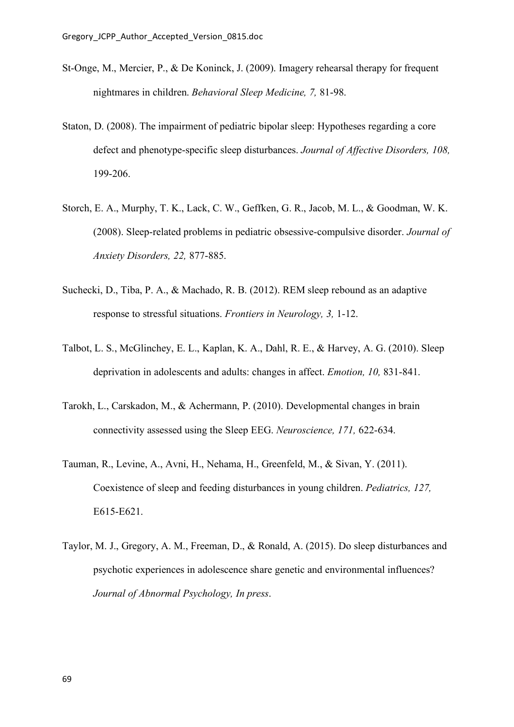- St-Onge, M., Mercier, P., & De Koninck, J. (2009). Imagery rehearsal therapy for frequent nightmares in children. *Behavioral Sleep Medicine, 7,* 81-98.
- Staton, D. (2008). The impairment of pediatric bipolar sleep: Hypotheses regarding a core defect and phenotype-specific sleep disturbances. *Journal of Affective Disorders, 108,* 199-206.
- Storch, E. A., Murphy, T. K., Lack, C. W., Geffken, G. R., Jacob, M. L., & Goodman, W. K. (2008). Sleep-related problems in pediatric obsessive-compulsive disorder. *Journal of Anxiety Disorders, 22,* 877-885.
- Suchecki, D., Tiba, P. A., & Machado, R. B. (2012). REM sleep rebound as an adaptive response to stressful situations. *Frontiers in Neurology, 3,* 1-12.
- Talbot, L. S., McGlinchey, E. L., Kaplan, K. A., Dahl, R. E., & Harvey, A. G. (2010). Sleep deprivation in adolescents and adults: changes in affect. *Emotion, 10,* 831-841.
- Tarokh, L., Carskadon, M., & Achermann, P. (2010). Developmental changes in brain connectivity assessed using the Sleep EEG. *Neuroscience, 171,* 622-634.
- Tauman, R., Levine, A., Avni, H., Nehama, H., Greenfeld, M., & Sivan, Y. (2011). Coexistence of sleep and feeding disturbances in young children. *Pediatrics, 127,* E615-E621.
- Taylor, M. J., Gregory, A. M., Freeman, D., & Ronald, A. (2015). Do sleep disturbances and psychotic experiences in adolescence share genetic and environmental influences? *Journal of Abnormal Psychology, In press*.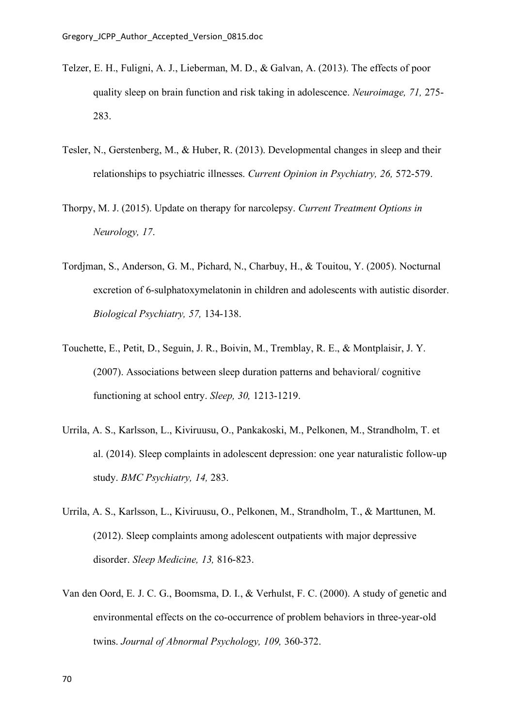- Telzer, E. H., Fuligni, A. J., Lieberman, M. D., & Galvan, A. (2013). The effects of poor quality sleep on brain function and risk taking in adolescence. *Neuroimage, 71,* 275- 283.
- Tesler, N., Gerstenberg, M., & Huber, R. (2013). Developmental changes in sleep and their relationships to psychiatric illnesses. *Current Opinion in Psychiatry, 26,* 572-579.
- Thorpy, M. J. (2015). Update on therapy for narcolepsy. *Current Treatment Options in Neurology, 17*.
- Tordjman, S., Anderson, G. M., Pichard, N., Charbuy, H., & Touitou, Y. (2005). Nocturnal excretion of 6-sulphatoxymelatonin in children and adolescents with autistic disorder. *Biological Psychiatry, 57,* 134-138.
- Touchette, E., Petit, D., Seguin, J. R., Boivin, M., Tremblay, R. E., & Montplaisir, J. Y. (2007). Associations between sleep duration patterns and behavioral/ cognitive functioning at school entry. *Sleep, 30,* 1213-1219.
- Urrila, A. S., Karlsson, L., Kiviruusu, O., Pankakoski, M., Pelkonen, M., Strandholm, T. et al. (2014). Sleep complaints in adolescent depression: one year naturalistic follow-up study. *BMC Psychiatry, 14,* 283.
- Urrila, A. S., Karlsson, L., Kiviruusu, O., Pelkonen, M., Strandholm, T., & Marttunen, M. (2012). Sleep complaints among adolescent outpatients with major depressive disorder. *Sleep Medicine, 13,* 816-823.
- Van den Oord, E. J. C. G., Boomsma, D. I., & Verhulst, F. C. (2000). A study of genetic and environmental effects on the co-occurrence of problem behaviors in three-year-old twins. *Journal of Abnormal Psychology, 109,* 360-372.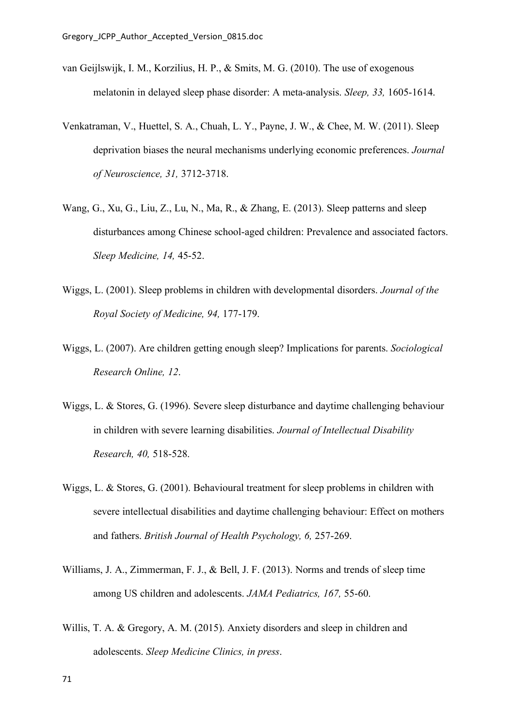- van Geijlswijk, I. M., Korzilius, H. P., & Smits, M. G. (2010). The use of exogenous melatonin in delayed sleep phase disorder: A meta-analysis. *Sleep, 33,* 1605-1614.
- Venkatraman, V., Huettel, S. A., Chuah, L. Y., Payne, J. W., & Chee, M. W. (2011). Sleep deprivation biases the neural mechanisms underlying economic preferences. *Journal of Neuroscience, 31,* 3712-3718.
- Wang, G., Xu, G., Liu, Z., Lu, N., Ma, R., & Zhang, E. (2013). Sleep patterns and sleep disturbances among Chinese school-aged children: Prevalence and associated factors. *Sleep Medicine, 14,* 45-52.
- Wiggs, L. (2001). Sleep problems in children with developmental disorders. *Journal of the Royal Society of Medicine, 94,* 177-179.
- Wiggs, L. (2007). Are children getting enough sleep? Implications for parents. *Sociological Research Online, 12*.
- Wiggs, L. & Stores, G. (1996). Severe sleep disturbance and daytime challenging behaviour in children with severe learning disabilities. *Journal of Intellectual Disability Research, 40,* 518-528.
- Wiggs, L. & Stores, G. (2001). Behavioural treatment for sleep problems in children with severe intellectual disabilities and daytime challenging behaviour: Effect on mothers and fathers. *British Journal of Health Psychology, 6,* 257-269.
- Williams, J. A., Zimmerman, F. J., & Bell, J. F. (2013). Norms and trends of sleep time among US children and adolescents. *JAMA Pediatrics, 167,* 55-60.
- Willis, T. A. & Gregory, A. M. (2015). Anxiety disorders and sleep in children and adolescents. *Sleep Medicine Clinics, in press*.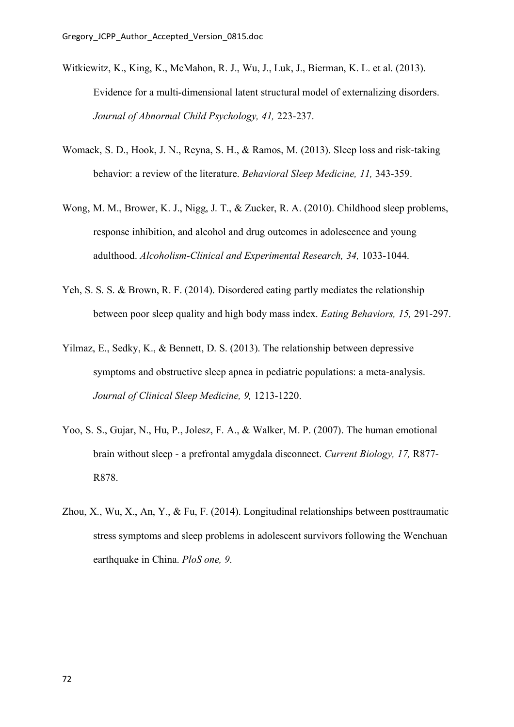- Witkiewitz, K., King, K., McMahon, R. J., Wu, J., Luk, J., Bierman, K. L. et al. (2013). Evidence for a multi-dimensional latent structural model of externalizing disorders. *Journal of Abnormal Child Psychology, 41,* 223-237.
- Womack, S. D., Hook, J. N., Reyna, S. H., & Ramos, M. (2013). Sleep loss and risk-taking behavior: a review of the literature. *Behavioral Sleep Medicine, 11,* 343-359.
- Wong, M. M., Brower, K. J., Nigg, J. T., & Zucker, R. A. (2010). Childhood sleep problems, response inhibition, and alcohol and drug outcomes in adolescence and young adulthood. *Alcoholism-Clinical and Experimental Research, 34,* 1033-1044.
- Yeh, S. S. S. & Brown, R. F. (2014). Disordered eating partly mediates the relationship between poor sleep quality and high body mass index. *Eating Behaviors, 15,* 291-297.
- Yilmaz, E., Sedky, K., & Bennett, D. S. (2013). The relationship between depressive symptoms and obstructive sleep apnea in pediatric populations: a meta-analysis. *Journal of Clinical Sleep Medicine, 9,* 1213-1220.
- Yoo, S. S., Gujar, N., Hu, P., Jolesz, F. A., & Walker, M. P. (2007). The human emotional brain without sleep - a prefrontal amygdala disconnect. *Current Biology, 17,* R877- R878.
- Zhou, X., Wu, X., An, Y., & Fu, F. (2014). Longitudinal relationships between posttraumatic stress symptoms and sleep problems in adolescent survivors following the Wenchuan earthquake in China. *PloS one, 9*.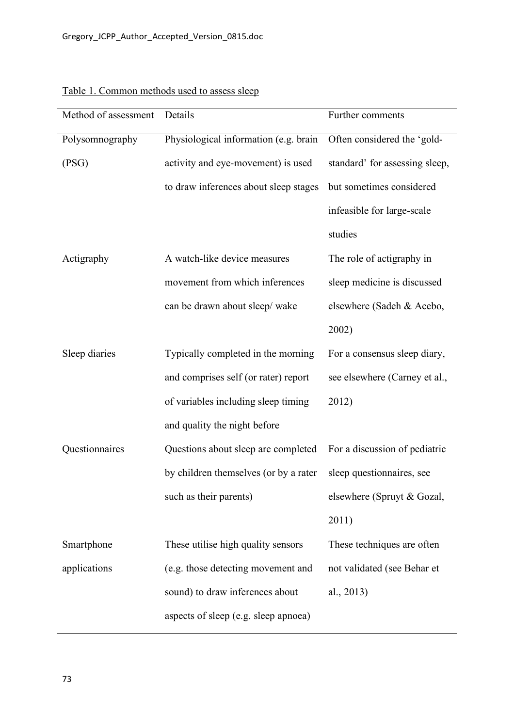| Method of assessment | Details                               | Further comments               |
|----------------------|---------------------------------------|--------------------------------|
| Polysomnography      | Physiological information (e.g. brain | Often considered the 'gold-    |
| (PSG)                | activity and eye-movement) is used    | standard' for assessing sleep, |
|                      | to draw inferences about sleep stages | but sometimes considered       |
|                      |                                       | infeasible for large-scale     |
|                      |                                       | studies                        |
| Actigraphy           | A watch-like device measures          | The role of actigraphy in      |
|                      | movement from which inferences        | sleep medicine is discussed    |
|                      | can be drawn about sleep/ wake        | elsewhere (Sadeh & Acebo,      |
|                      |                                       | 2002)                          |
| Sleep diaries        | Typically completed in the morning    | For a consensus sleep diary,   |
|                      | and comprises self (or rater) report  | see elsewhere (Carney et al.,  |
|                      | of variables including sleep timing   | 2012)                          |
|                      | and quality the night before          |                                |
| Questionnaires       | Questions about sleep are completed   | For a discussion of pediatric  |
|                      | by children themselves (or by a rater | sleep questionnaires, see      |
|                      | such as their parents)                | elsewhere (Spruyt & Gozal,     |
|                      |                                       | 2011)                          |
| Smartphone           | These utilise high quality sensors    | These techniques are often     |
| applications         | (e.g. those detecting movement and    | not validated (see Behar et    |
|                      | sound) to draw inferences about       | al., 2013)                     |
|                      | aspects of sleep (e.g. sleep apnoea)  |                                |

## Table 1. Common methods used to assess sleep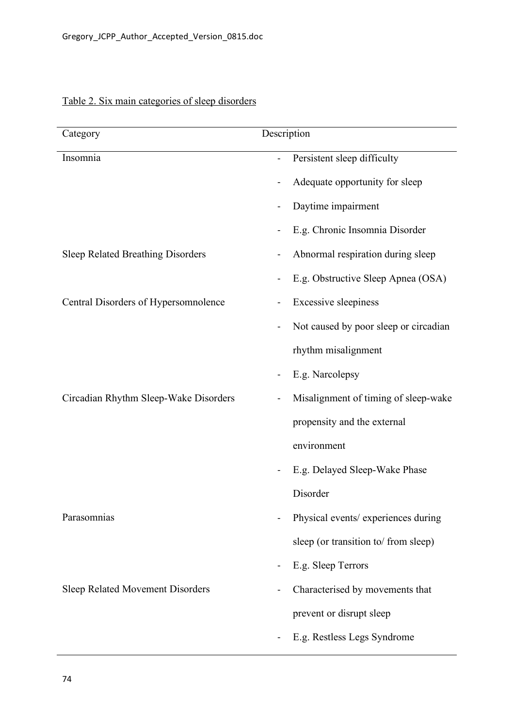| Category                                 | Description                           |
|------------------------------------------|---------------------------------------|
| Insomnia                                 | Persistent sleep difficulty           |
|                                          | Adequate opportunity for sleep        |
|                                          | Daytime impairment                    |
|                                          | E.g. Chronic Insomnia Disorder        |
| <b>Sleep Related Breathing Disorders</b> | Abnormal respiration during sleep     |
|                                          | E.g. Obstructive Sleep Apnea (OSA)    |
| Central Disorders of Hypersomnolence     | <b>Excessive sleepiness</b>           |
|                                          | Not caused by poor sleep or circadian |
|                                          | rhythm misalignment                   |
|                                          | E.g. Narcolepsy<br>-                  |
| Circadian Rhythm Sleep-Wake Disorders    | Misalignment of timing of sleep-wake  |
|                                          | propensity and the external           |
|                                          | environment                           |
|                                          | E.g. Delayed Sleep-Wake Phase         |
|                                          | Disorder                              |
| Parasomnias                              | Physical events/ experiences during   |
|                                          | sleep (or transition to/ from sleep)  |
|                                          | E.g. Sleep Terrors<br>۳               |
| <b>Sleep Related Movement Disorders</b>  | Characterised by movements that       |
|                                          | prevent or disrupt sleep              |
|                                          | E.g. Restless Legs Syndrome           |

## Table 2. Six main categories of sleep disorders